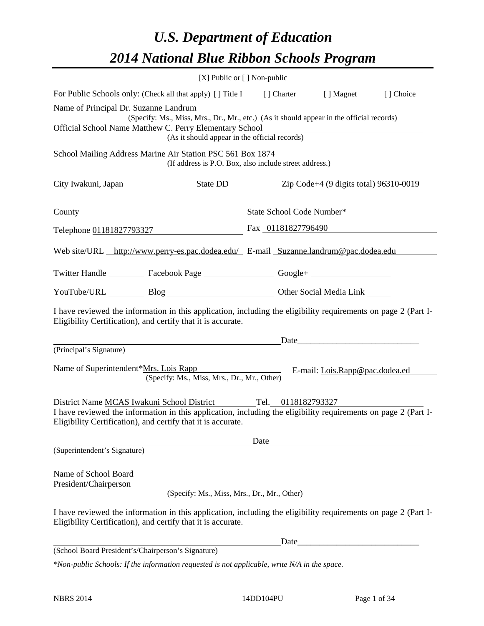# *U.S. Department of Education 2014 National Blue Ribbon Schools Program*

| [X] Public or [] Non-public                                                                                                                                                     |  |  |                                                                                                                                                                                                                               |  |  |
|---------------------------------------------------------------------------------------------------------------------------------------------------------------------------------|--|--|-------------------------------------------------------------------------------------------------------------------------------------------------------------------------------------------------------------------------------|--|--|
| For Public Schools only: (Check all that apply) [] Title I [] Charter [] Magnet [] Choice                                                                                       |  |  |                                                                                                                                                                                                                               |  |  |
| Name of Principal Dr. Suzanne Landrum                                                                                                                                           |  |  |                                                                                                                                                                                                                               |  |  |
| (Specify: Ms., Miss, Mrs., Dr., Mr., etc.) (As it should appear in the official records)                                                                                        |  |  |                                                                                                                                                                                                                               |  |  |
| Official School Name Matthew C. Perry Elementary School<br>(As it should appear in the official records)                                                                        |  |  |                                                                                                                                                                                                                               |  |  |
|                                                                                                                                                                                 |  |  |                                                                                                                                                                                                                               |  |  |
| School Mailing Address Marine Air Station PSC 561 Box 1874<br>(If address is P.O. Box, also include street address.)                                                            |  |  |                                                                                                                                                                                                                               |  |  |
| City Iwakuni, Japan State DD State DD Zip Code+4 (9 digits total) 96310-0019                                                                                                    |  |  |                                                                                                                                                                                                                               |  |  |
|                                                                                                                                                                                 |  |  |                                                                                                                                                                                                                               |  |  |
| Telephone 01181827793327 Fax 01181827796490                                                                                                                                     |  |  |                                                                                                                                                                                                                               |  |  |
| Web site/URL http://www.perry-es.pac.dodea.edu/ E-mail Suzanne.landrum@pac.dodea.edu                                                                                            |  |  |                                                                                                                                                                                                                               |  |  |
| Twitter Handle ___________ Facebook Page ___________________ Google+ ____________                                                                                               |  |  |                                                                                                                                                                                                                               |  |  |
| YouTube/URL Blog Blog Cher Social Media Link                                                                                                                                    |  |  |                                                                                                                                                                                                                               |  |  |
| I have reviewed the information in this application, including the eligibility requirements on page 2 (Part I-<br>Eligibility Certification), and certify that it is accurate.  |  |  |                                                                                                                                                                                                                               |  |  |
|                                                                                                                                                                                 |  |  |                                                                                                                                                                                                                               |  |  |
| (Principal's Signature)                                                                                                                                                         |  |  |                                                                                                                                                                                                                               |  |  |
| Name of Superintendent*Mrs. Lois Rapp                                                                                                                                           |  |  | E-mail: Lois.Rapp@pac.dodea.ed                                                                                                                                                                                                |  |  |
| (Specify: Ms., Miss, Mrs., Dr., Mr., Other)                                                                                                                                     |  |  |                                                                                                                                                                                                                               |  |  |
|                                                                                                                                                                                 |  |  |                                                                                                                                                                                                                               |  |  |
| District Name MCAS Iwakuni School District Tel. 0118182793327<br>I have reviewed the information in this application, including the eligibility requirements on page 2 (Part I- |  |  |                                                                                                                                                                                                                               |  |  |
| Eligibility Certification), and certify that it is accurate.                                                                                                                    |  |  |                                                                                                                                                                                                                               |  |  |
|                                                                                                                                                                                 |  |  |                                                                                                                                                                                                                               |  |  |
| (Superintendent's Signature)                                                                                                                                                    |  |  | Date and the same state of the state of the state of the state of the state of the state of the state of the state of the state of the state of the state of the state of the state of the state of the state of the state of |  |  |
|                                                                                                                                                                                 |  |  |                                                                                                                                                                                                                               |  |  |
| Name of School Board                                                                                                                                                            |  |  |                                                                                                                                                                                                                               |  |  |
| President/Chairperson                                                                                                                                                           |  |  |                                                                                                                                                                                                                               |  |  |
| (Specify: Ms., Miss, Mrs., Dr., Mr., Other)                                                                                                                                     |  |  |                                                                                                                                                                                                                               |  |  |
| I have reviewed the information in this application, including the eligibility requirements on page 2 (Part I-<br>Eligibility Certification), and certify that it is accurate.  |  |  |                                                                                                                                                                                                                               |  |  |
|                                                                                                                                                                                 |  |  | Date                                                                                                                                                                                                                          |  |  |
| (School Board President's/Chairperson's Signature)                                                                                                                              |  |  |                                                                                                                                                                                                                               |  |  |

*\*Non-public Schools: If the information requested is not applicable, write N/A in the space.*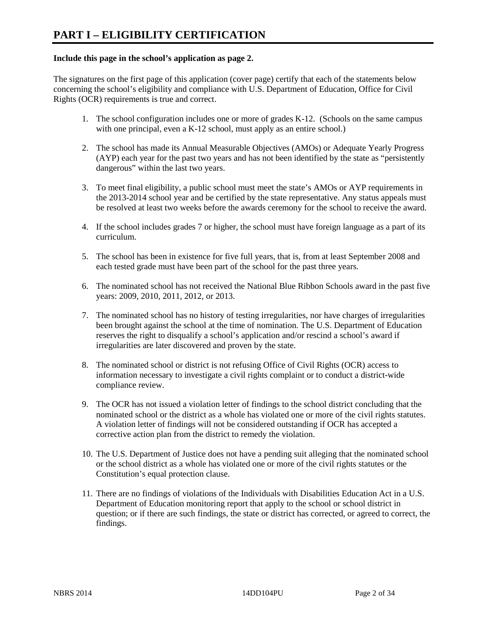### **Include this page in the school's application as page 2.**

The signatures on the first page of this application (cover page) certify that each of the statements below concerning the school's eligibility and compliance with U.S. Department of Education, Office for Civil Rights (OCR) requirements is true and correct.

- 1. The school configuration includes one or more of grades K-12. (Schools on the same campus with one principal, even a K-12 school, must apply as an entire school.)
- 2. The school has made its Annual Measurable Objectives (AMOs) or Adequate Yearly Progress (AYP) each year for the past two years and has not been identified by the state as "persistently dangerous" within the last two years.
- 3. To meet final eligibility, a public school must meet the state's AMOs or AYP requirements in the 2013-2014 school year and be certified by the state representative. Any status appeals must be resolved at least two weeks before the awards ceremony for the school to receive the award.
- 4. If the school includes grades 7 or higher, the school must have foreign language as a part of its curriculum.
- 5. The school has been in existence for five full years, that is, from at least September 2008 and each tested grade must have been part of the school for the past three years.
- 6. The nominated school has not received the National Blue Ribbon Schools award in the past five years: 2009, 2010, 2011, 2012, or 2013.
- 7. The nominated school has no history of testing irregularities, nor have charges of irregularities been brought against the school at the time of nomination. The U.S. Department of Education reserves the right to disqualify a school's application and/or rescind a school's award if irregularities are later discovered and proven by the state.
- 8. The nominated school or district is not refusing Office of Civil Rights (OCR) access to information necessary to investigate a civil rights complaint or to conduct a district-wide compliance review.
- 9. The OCR has not issued a violation letter of findings to the school district concluding that the nominated school or the district as a whole has violated one or more of the civil rights statutes. A violation letter of findings will not be considered outstanding if OCR has accepted a corrective action plan from the district to remedy the violation.
- 10. The U.S. Department of Justice does not have a pending suit alleging that the nominated school or the school district as a whole has violated one or more of the civil rights statutes or the Constitution's equal protection clause.
- 11. There are no findings of violations of the Individuals with Disabilities Education Act in a U.S. Department of Education monitoring report that apply to the school or school district in question; or if there are such findings, the state or district has corrected, or agreed to correct, the findings.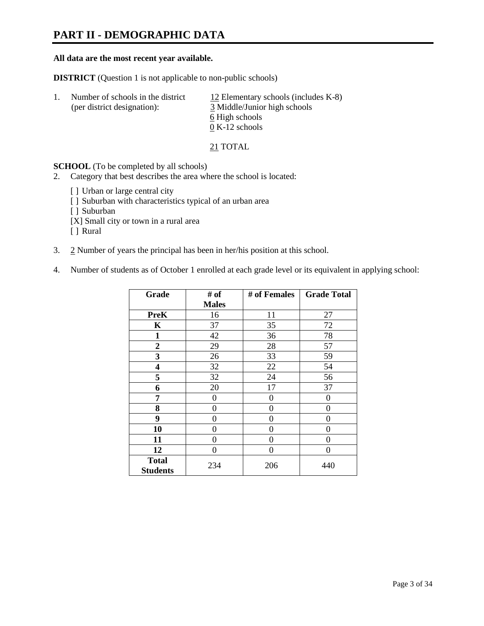# **PART II - DEMOGRAPHIC DATA**

### **All data are the most recent year available.**

**DISTRICT** (Question 1 is not applicable to non-public schools)

| Number of schools in the district<br>(per district designation): | 12 Elementary schools (includes $K-8$ )<br>3 Middle/Junior high schools |
|------------------------------------------------------------------|-------------------------------------------------------------------------|
|                                                                  | 6 High schools                                                          |
|                                                                  | $0 K-12$ schools                                                        |

21 TOTAL

**SCHOOL** (To be completed by all schools)

- 2. Category that best describes the area where the school is located:
	- [] Urban or large central city
	- [ ] Suburban with characteristics typical of an urban area
	- [ ] Suburban
	- [X] Small city or town in a rural area
	- [ ] Rural
- 3. 2 Number of years the principal has been in her/his position at this school.
- 4. Number of students as of October 1 enrolled at each grade level or its equivalent in applying school:

| Grade                           | # of         | # of Females | <b>Grade Total</b> |
|---------------------------------|--------------|--------------|--------------------|
|                                 | <b>Males</b> |              |                    |
| <b>PreK</b>                     | 16           | 11           | 27                 |
| K                               | 37           | 35           | 72                 |
| 1                               | 42           | 36           | 78                 |
| $\overline{2}$                  | 29           | 28           | 57                 |
| 3                               | 26           | 33           | 59                 |
| 4                               | 32           | 22           | 54                 |
| 5                               | 32           | 24           | 56                 |
| 6                               | 20           | 17           | 37                 |
| 7                               | 0            | 0            | 0                  |
| 8                               | $\theta$     | 0            | 0                  |
| 9                               | $\theta$     | $\theta$     | 0                  |
| 10                              | 0            | 0            | 0                  |
| 11                              | 0            | 0            | 0                  |
| 12                              | 0            | 0            | 0                  |
| <b>Total</b><br><b>Students</b> | 234          | 206          | 440                |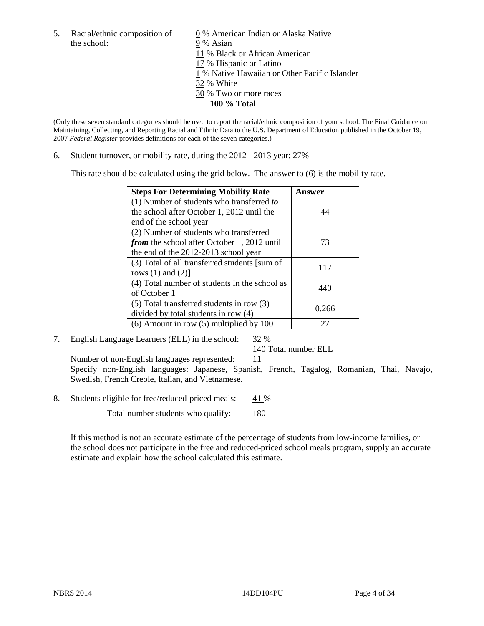the school: 9 % Asian

5. Racial/ethnic composition of  $\qquad \qquad \underline{0}$  % American Indian or Alaska Native 11 % Black or African American 17 % Hispanic or Latino 1 % Native Hawaiian or Other Pacific Islander 32 % White 30 % Two or more races **100 % Total** 

(Only these seven standard categories should be used to report the racial/ethnic composition of your school. The Final Guidance on Maintaining, Collecting, and Reporting Racial and Ethnic Data to the U.S. Department of Education published in the October 19, 2007 *Federal Register* provides definitions for each of the seven categories.)

6. Student turnover, or mobility rate, during the 2012 - 2013 year: 27%

This rate should be calculated using the grid below. The answer to (6) is the mobility rate.

| <b>Steps For Determining Mobility Rate</b>         | Answer |
|----------------------------------------------------|--------|
| (1) Number of students who transferred to          |        |
| the school after October 1, 2012 until the         | 44     |
| end of the school year                             |        |
| (2) Number of students who transferred             |        |
| <i>from</i> the school after October 1, 2012 until | 73     |
| the end of the 2012-2013 school year               |        |
| (3) Total of all transferred students [sum of      | 117    |
| rows $(1)$ and $(2)$ ]                             |        |
| (4) Total number of students in the school as      | 440    |
| of October 1                                       |        |
| $(5)$ Total transferred students in row $(3)$      | 0.266  |
| divided by total students in row (4)               |        |
| $(6)$ Amount in row $(5)$ multiplied by 100        |        |

### 7. English Language Learners (ELL) in the school: 32 %

### 140 Total number ELL

Number of non-English languages represented:  $11$  Specify non-English languages: Japanese, Spanish, French, Tagalog, Romanian, Thai, Navajo, Swedish, French Creole, Italian, and Vietnamese.

8. Students eligible for free/reduced-priced meals: 41 %

Total number students who qualify: 180

If this method is not an accurate estimate of the percentage of students from low-income families, or the school does not participate in the free and reduced-priced school meals program, supply an accurate estimate and explain how the school calculated this estimate.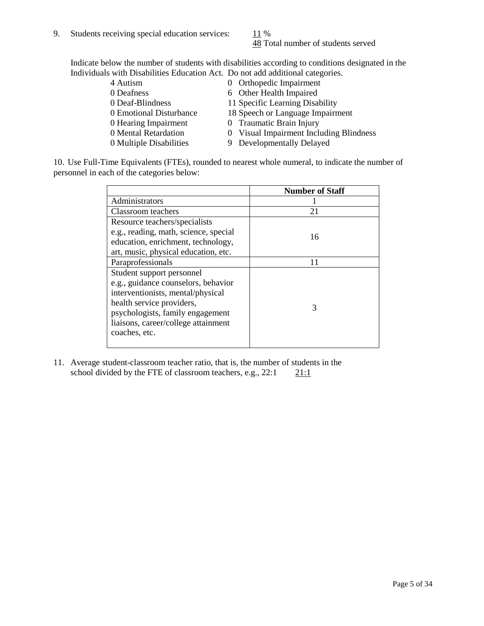48 Total number of students served

Indicate below the number of students with disabilities according to conditions designated in the Individuals with Disabilities Education Act. Do not add additional categories.

| 4 Autism                | 0 Orthopedic Impairment                 |
|-------------------------|-----------------------------------------|
| 0 Deafness              | 6 Other Health Impaired                 |
| 0 Deaf-Blindness        | 11 Specific Learning Disability         |
| 0 Emotional Disturbance | 18 Speech or Language Impairment        |
| 0 Hearing Impairment    | 0 Traumatic Brain Injury                |
| 0 Mental Retardation    | 0 Visual Impairment Including Blindness |
| 0 Multiple Disabilities | 9 Developmentally Delayed               |
|                         |                                         |

10. Use Full-Time Equivalents (FTEs), rounded to nearest whole numeral, to indicate the number of personnel in each of the categories below:

|                                       | <b>Number of Staff</b> |
|---------------------------------------|------------------------|
| Administrators                        |                        |
| Classroom teachers                    | 21                     |
| Resource teachers/specialists         |                        |
| e.g., reading, math, science, special | 16                     |
| education, enrichment, technology,    |                        |
| art, music, physical education, etc.  |                        |
| Paraprofessionals                     |                        |
| Student support personnel             |                        |
| e.g., guidance counselors, behavior   |                        |
| interventionists, mental/physical     |                        |
| health service providers,             | 3                      |
| psychologists, family engagement      |                        |
| liaisons, career/college attainment   |                        |
| coaches, etc.                         |                        |
|                                       |                        |

11. Average student-classroom teacher ratio, that is, the number of students in the school divided by the FTE of classroom teachers, e.g.,  $22:1$  21:1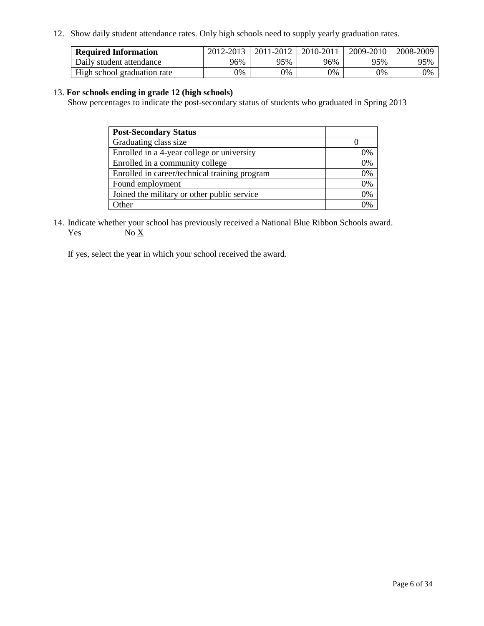12. Show daily student attendance rates. Only high schools need to supply yearly graduation rates.

| <b>Required Information</b> | 2012-2013 | 2011-2012 | 2010-2011 | 2009-2010 | 2008-2009 |
|-----------------------------|-----------|-----------|-----------|-----------|-----------|
| Daily student attendance    | 96%       | 95%       | 96%       | 95%       | 95%       |
| High school graduation rate | 0%        | 9%        | 0%        | 0%        | 0%        |

### 13. **For schools ending in grade 12 (high schools)**

Show percentages to indicate the post-secondary status of students who graduated in Spring 2013

| <b>Post-Secondary Status</b>                  |    |
|-----------------------------------------------|----|
| Graduating class size                         |    |
| Enrolled in a 4-year college or university    | 0% |
| Enrolled in a community college               | 0% |
| Enrolled in career/technical training program | 0% |
| Found employment                              | 0% |
| Joined the military or other public service   | 0% |
| <b>Ther</b>                                   | 2% |

14. Indicate whether your school has previously received a National Blue Ribbon Schools award. Yes  $No \underline{X}$ 

If yes, select the year in which your school received the award.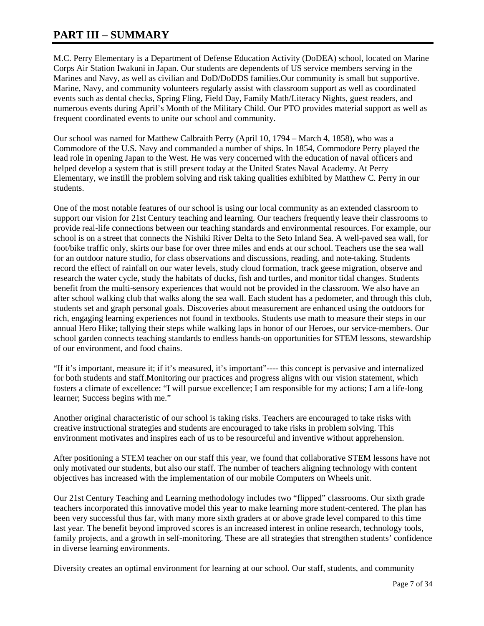# **PART III – SUMMARY**

M.C. Perry Elementary is a Department of Defense Education Activity (DoDEA) school, located on Marine Corps Air Station Iwakuni in Japan. Our students are dependents of US service members serving in the Marines and Navy, as well as civilian and DoD/DoDDS families.Our community is small but supportive. Marine, Navy, and community volunteers regularly assist with classroom support as well as coordinated events such as dental checks, Spring Fling, Field Day, Family Math/Literacy Nights, guest readers, and numerous events during April's Month of the Military Child. Our PTO provides material support as well as frequent coordinated events to unite our school and community.

Our school was named for Matthew Calbraith Perry (April 10, 1794 – March 4, 1858), who was a Commodore of the U.S. Navy and commanded a number of ships. In 1854, Commodore Perry played the lead role in opening Japan to the West. He was very concerned with the education of naval officers and helped develop a system that is still present today at the United States Naval Academy. At Perry Elementary, we instill the problem solving and risk taking qualities exhibited by Matthew C. Perry in our students.

One of the most notable features of our school is using our local community as an extended classroom to support our vision for 21st Century teaching and learning. Our teachers frequently leave their classrooms to provide real-life connections between our teaching standards and environmental resources. For example, our school is on a street that connects the Nishiki River Delta to the Seto Inland Sea. A well-paved sea wall, for foot/bike traffic only, skirts our base for over three miles and ends at our school. Teachers use the sea wall for an outdoor nature studio, for class observations and discussions, reading, and note-taking. Students record the effect of rainfall on our water levels, study cloud formation, track geese migration, observe and research the water cycle, study the habitats of ducks, fish and turtles, and monitor tidal changes. Students benefit from the multi-sensory experiences that would not be provided in the classroom. We also have an after school walking club that walks along the sea wall. Each student has a pedometer, and through this club, students set and graph personal goals. Discoveries about measurement are enhanced using the outdoors for rich, engaging learning experiences not found in textbooks. Students use math to measure their steps in our annual Hero Hike; tallying their steps while walking laps in honor of our Heroes, our service-members. Our school garden connects teaching standards to endless hands-on opportunities for STEM lessons, stewardship of our environment, and food chains.

"If it's important, measure it; if it's measured, it's important"---- this concept is pervasive and internalized for both students and staff.Monitoring our practices and progress aligns with our vision statement, which fosters a climate of excellence: "I will pursue excellence; I am responsible for my actions; I am a life-long learner; Success begins with me."

Another original characteristic of our school is taking risks. Teachers are encouraged to take risks with creative instructional strategies and students are encouraged to take risks in problem solving. This environment motivates and inspires each of us to be resourceful and inventive without apprehension.

After positioning a STEM teacher on our staff this year, we found that collaborative STEM lessons have not only motivated our students, but also our staff. The number of teachers aligning technology with content objectives has increased with the implementation of our mobile Computers on Wheels unit.

Our 21st Century Teaching and Learning methodology includes two "flipped" classrooms. Our sixth grade teachers incorporated this innovative model this year to make learning more student-centered. The plan has been very successful thus far, with many more sixth graders at or above grade level compared to this time last year. The benefit beyond improved scores is an increased interest in online research, technology tools, family projects, and a growth in self-monitoring. These are all strategies that strengthen students' confidence in diverse learning environments.

Diversity creates an optimal environment for learning at our school. Our staff, students, and community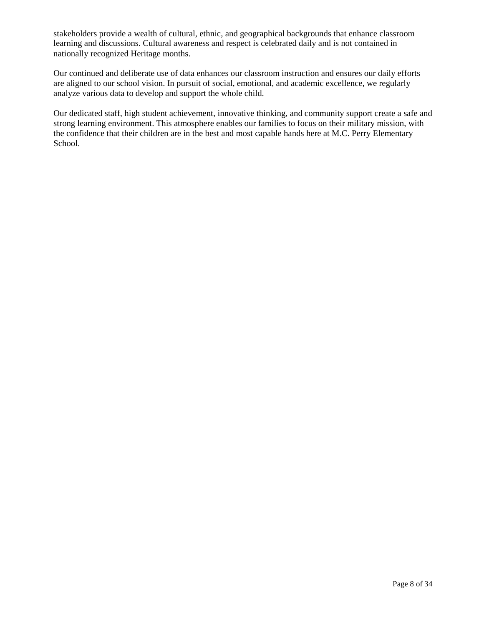stakeholders provide a wealth of cultural, ethnic, and geographical backgrounds that enhance classroom learning and discussions. Cultural awareness and respect is celebrated daily and is not contained in nationally recognized Heritage months.

Our continued and deliberate use of data enhances our classroom instruction and ensures our daily efforts are aligned to our school vision. In pursuit of social, emotional, and academic excellence, we regularly analyze various data to develop and support the whole child.

Our dedicated staff, high student achievement, innovative thinking, and community support create a safe and strong learning environment. This atmosphere enables our families to focus on their military mission, with the confidence that their children are in the best and most capable hands here at M.C. Perry Elementary School.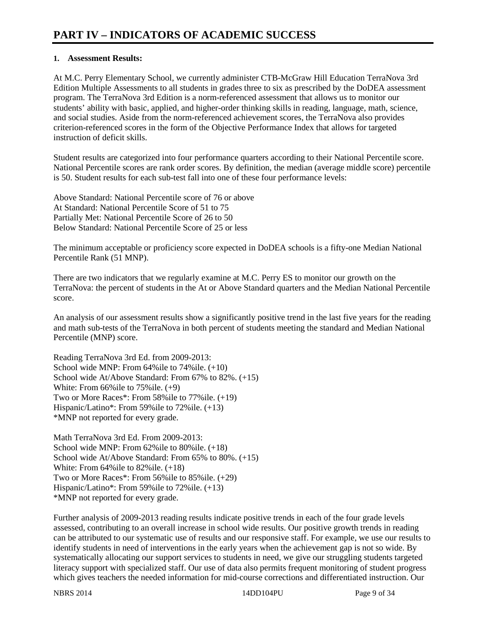# **1. Assessment Results:**

At M.C. Perry Elementary School, we currently administer CTB-McGraw Hill Education TerraNova 3rd Edition Multiple Assessments to all students in grades three to six as prescribed by the DoDEA assessment program. The TerraNova 3rd Edition is a norm-referenced assessment that allows us to monitor our students' ability with basic, applied, and higher-order thinking skills in reading, language, math, science, and social studies. Aside from the norm-referenced achievement scores, the TerraNova also provides criterion-referenced scores in the form of the Objective Performance Index that allows for targeted instruction of deficit skills.

Student results are categorized into four performance quarters according to their National Percentile score. National Percentile scores are rank order scores. By definition, the median (average middle score) percentile is 50. Student results for each sub-test fall into one of these four performance levels:

Above Standard: National Percentile score of 76 or above At Standard: National Percentile Score of 51 to 75 Partially Met: National Percentile Score of 26 to 50 Below Standard: National Percentile Score of 25 or less

The minimum acceptable or proficiency score expected in DoDEA schools is a fifty-one Median National Percentile Rank (51 MNP).

There are two indicators that we regularly examine at M.C. Perry ES to monitor our growth on the TerraNova: the percent of students in the At or Above Standard quarters and the Median National Percentile score.

An analysis of our assessment results show a significantly positive trend in the last five years for the reading and math sub-tests of the TerraNova in both percent of students meeting the standard and Median National Percentile (MNP) score.

Reading TerraNova 3rd Ed. from 2009-2013: School wide MNP: From 64%ile to 74%ile. (+10) School wide At/Above Standard: From 67% to 82%. (+15) White: From 66%ile to 75%ile. (+9) Two or More Races\*: From 58%ile to 77%ile. (+19) Hispanic/Latino\*: From 59%ile to 72%ile. (+13) \*MNP not reported for every grade.

Math TerraNova 3rd Ed. From 2009-2013: School wide MNP: From 62%ile to 80%ile. (+18) School wide At/Above Standard: From 65% to 80%. (+15) White: From 64%ile to 82%ile. (+18) Two or More Races\*: From 56%ile to 85%ile. (+29) Hispanic/Latino\*: From 59%ile to 72%ile. (+13) \*MNP not reported for every grade.

Further analysis of 2009-2013 reading results indicate positive trends in each of the four grade levels assessed, contributing to an overall increase in school wide results. Our positive growth trends in reading can be attributed to our systematic use of results and our responsive staff. For example, we use our results to identify students in need of interventions in the early years when the achievement gap is not so wide. By systematically allocating our support services to students in need, we give our struggling students targeted literacy support with specialized staff. Our use of data also permits frequent monitoring of student progress which gives teachers the needed information for mid-course corrections and differentiated instruction. Our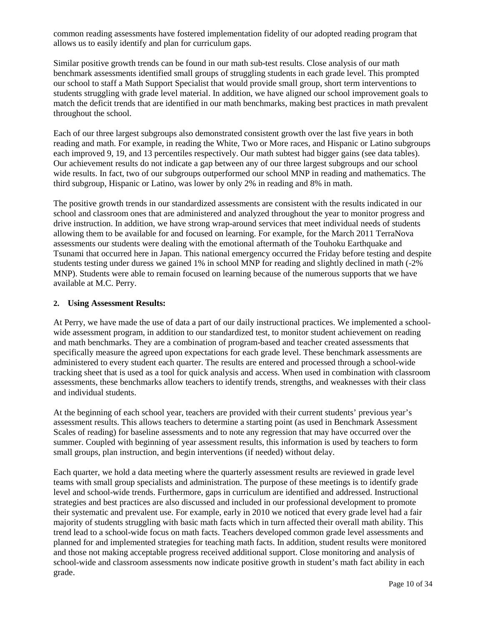common reading assessments have fostered implementation fidelity of our adopted reading program that allows us to easily identify and plan for curriculum gaps.

Similar positive growth trends can be found in our math sub-test results. Close analysis of our math benchmark assessments identified small groups of struggling students in each grade level. This prompted our school to staff a Math Support Specialist that would provide small group, short term interventions to students struggling with grade level material. In addition, we have aligned our school improvement goals to match the deficit trends that are identified in our math benchmarks, making best practices in math prevalent throughout the school.

Each of our three largest subgroups also demonstrated consistent growth over the last five years in both reading and math. For example, in reading the White, Two or More races, and Hispanic or Latino subgroups each improved 9, 19, and 13 percentiles respectively. Our math subtest had bigger gains (see data tables). Our achievement results do not indicate a gap between any of our three largest subgroups and our school wide results. In fact, two of our subgroups outperformed our school MNP in reading and mathematics. The third subgroup, Hispanic or Latino, was lower by only 2% in reading and 8% in math.

The positive growth trends in our standardized assessments are consistent with the results indicated in our school and classroom ones that are administered and analyzed throughout the year to monitor progress and drive instruction. In addition, we have strong wrap-around services that meet individual needs of students allowing them to be available for and focused on learning. For example, for the March 2011 TerraNova assessments our students were dealing with the emotional aftermath of the Touhoku Earthquake and Tsunami that occurred here in Japan. This national emergency occurred the Friday before testing and despite students testing under duress we gained 1% in school MNP for reading and slightly declined in math (-2% MNP). Students were able to remain focused on learning because of the numerous supports that we have available at M.C. Perry.

### **2. Using Assessment Results:**

At Perry, we have made the use of data a part of our daily instructional practices. We implemented a schoolwide assessment program, in addition to our standardized test, to monitor student achievement on reading and math benchmarks. They are a combination of program-based and teacher created assessments that specifically measure the agreed upon expectations for each grade level. These benchmark assessments are administered to every student each quarter. The results are entered and processed through a school-wide tracking sheet that is used as a tool for quick analysis and access. When used in combination with classroom assessments, these benchmarks allow teachers to identify trends, strengths, and weaknesses with their class and individual students.

At the beginning of each school year, teachers are provided with their current students' previous year's assessment results. This allows teachers to determine a starting point (as used in Benchmark Assessment Scales of reading) for baseline assessments and to note any regression that may have occurred over the summer. Coupled with beginning of year assessment results, this information is used by teachers to form small groups, plan instruction, and begin interventions (if needed) without delay.

Each quarter, we hold a data meeting where the quarterly assessment results are reviewed in grade level teams with small group specialists and administration. The purpose of these meetings is to identify grade level and school-wide trends. Furthermore, gaps in curriculum are identified and addressed. Instructional strategies and best practices are also discussed and included in our professional development to promote their systematic and prevalent use. For example, early in 2010 we noticed that every grade level had a fair majority of students struggling with basic math facts which in turn affected their overall math ability. This trend lead to a school-wide focus on math facts. Teachers developed common grade level assessments and planned for and implemented strategies for teaching math facts. In addition, student results were monitored and those not making acceptable progress received additional support. Close monitoring and analysis of school-wide and classroom assessments now indicate positive growth in student's math fact ability in each grade.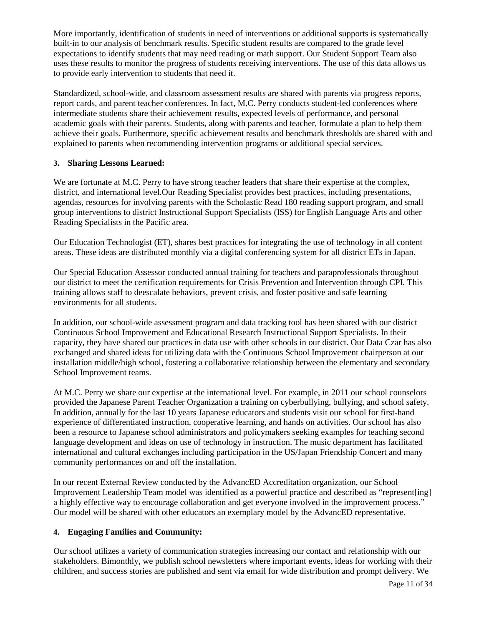More importantly, identification of students in need of interventions or additional supports is systematically built-in to our analysis of benchmark results. Specific student results are compared to the grade level expectations to identify students that may need reading or math support. Our Student Support Team also uses these results to monitor the progress of students receiving interventions. The use of this data allows us to provide early intervention to students that need it.

Standardized, school-wide, and classroom assessment results are shared with parents via progress reports, report cards, and parent teacher conferences. In fact, M.C. Perry conducts student-led conferences where intermediate students share their achievement results, expected levels of performance, and personal academic goals with their parents. Students, along with parents and teacher, formulate a plan to help them achieve their goals. Furthermore, specific achievement results and benchmark thresholds are shared with and explained to parents when recommending intervention programs or additional special services.

# **3. Sharing Lessons Learned:**

We are fortunate at M.C. Perry to have strong teacher leaders that share their expertise at the complex, district, and international level.Our Reading Specialist provides best practices, including presentations, agendas, resources for involving parents with the Scholastic Read 180 reading support program, and small group interventions to district Instructional Support Specialists (ISS) for English Language Arts and other Reading Specialists in the Pacific area.

Our Education Technologist (ET), shares best practices for integrating the use of technology in all content areas. These ideas are distributed monthly via a digital conferencing system for all district ETs in Japan.

Our Special Education Assessor conducted annual training for teachers and paraprofessionals throughout our district to meet the certification requirements for Crisis Prevention and Intervention through CPI. This training allows staff to deescalate behaviors, prevent crisis, and foster positive and safe learning environments for all students.

In addition, our school-wide assessment program and data tracking tool has been shared with our district Continuous School Improvement and Educational Research Instructional Support Specialists. In their capacity, they have shared our practices in data use with other schools in our district. Our Data Czar has also exchanged and shared ideas for utilizing data with the Continuous School Improvement chairperson at our installation middle/high school, fostering a collaborative relationship between the elementary and secondary School Improvement teams.

At M.C. Perry we share our expertise at the international level. For example, in 2011 our school counselors provided the Japanese Parent Teacher Organization a training on cyberbullying, bullying, and school safety. In addition, annually for the last 10 years Japanese educators and students visit our school for first-hand experience of differentiated instruction, cooperative learning, and hands on activities. Our school has also been a resource to Japanese school administrators and policymakers seeking examples for teaching second language development and ideas on use of technology in instruction. The music department has facilitated international and cultural exchanges including participation in the US/Japan Friendship Concert and many community performances on and off the installation.

In our recent External Review conducted by the AdvancED Accreditation organization, our School Improvement Leadership Team model was identified as a powerful practice and described as "represent[ing] a highly effective way to encourage collaboration and get everyone involved in the improvement process." Our model will be shared with other educators an exemplary model by the AdvancED representative.

### **4. Engaging Families and Community:**

Our school utilizes a variety of communication strategies increasing our contact and relationship with our stakeholders. Bimonthly, we publish school newsletters where important events, ideas for working with their children, and success stories are published and sent via email for wide distribution and prompt delivery. We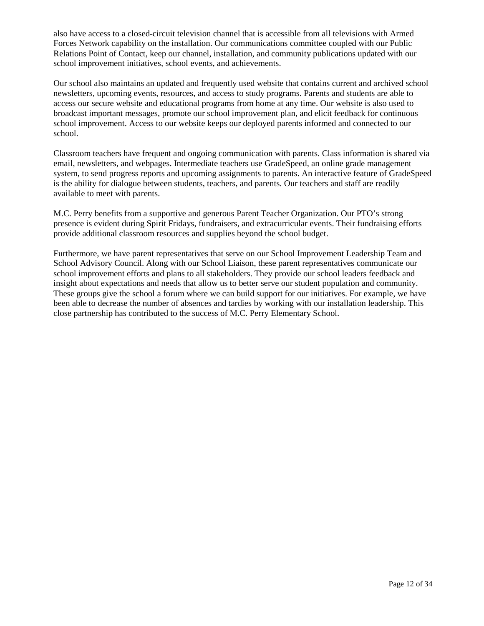also have access to a closed-circuit television channel that is accessible from all televisions with Armed Forces Network capability on the installation. Our communications committee coupled with our Public Relations Point of Contact, keep our channel, installation, and community publications updated with our school improvement initiatives, school events, and achievements.

Our school also maintains an updated and frequently used website that contains current and archived school newsletters, upcoming events, resources, and access to study programs. Parents and students are able to access our secure website and educational programs from home at any time. Our website is also used to broadcast important messages, promote our school improvement plan, and elicit feedback for continuous school improvement. Access to our website keeps our deployed parents informed and connected to our school.

Classroom teachers have frequent and ongoing communication with parents. Class information is shared via email, newsletters, and webpages. Intermediate teachers use GradeSpeed, an online grade management system, to send progress reports and upcoming assignments to parents. An interactive feature of GradeSpeed is the ability for dialogue between students, teachers, and parents. Our teachers and staff are readily available to meet with parents.

M.C. Perry benefits from a supportive and generous Parent Teacher Organization. Our PTO's strong presence is evident during Spirit Fridays, fundraisers, and extracurricular events. Their fundraising efforts provide additional classroom resources and supplies beyond the school budget.

Furthermore, we have parent representatives that serve on our School Improvement Leadership Team and School Advisory Council. Along with our School Liaison, these parent representatives communicate our school improvement efforts and plans to all stakeholders. They provide our school leaders feedback and insight about expectations and needs that allow us to better serve our student population and community. These groups give the school a forum where we can build support for our initiatives. For example, we have been able to decrease the number of absences and tardies by working with our installation leadership. This close partnership has contributed to the success of M.C. Perry Elementary School.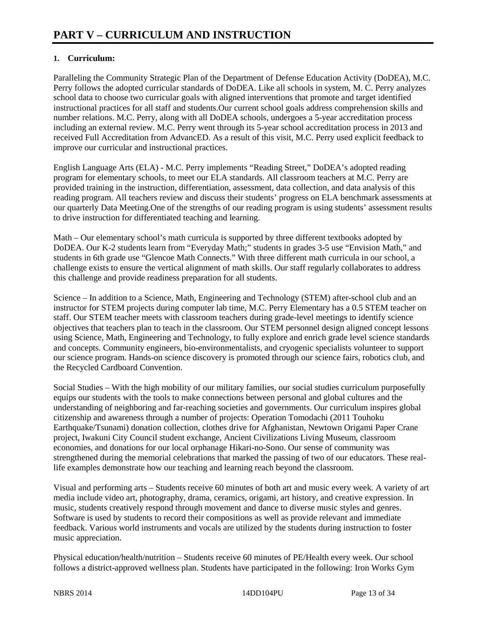# **1. Curriculum:**

Paralleling the Community Strategic Plan of the Department of Defense Education Activity (DoDEA), M.C. Perry follows the adopted curricular standards of DoDEA. Like all schools in system, M. C. Perry analyzes school data to choose two curricular goals with aligned interventions that promote and target identified instructional practices for all staff and students.Our current school goals address comprehension skills and number relations. M.C. Perry, along with all DoDEA schools, undergoes a 5-year accreditation process including an external review. M.C. Perry went through its 5-year school accreditation process in 2013 and received Full Accreditation from AdvancED. As a result of this visit, M.C. Perry used explicit feedback to improve our curricular and instructional practices.

English Language Arts (ELA) - M.C. Perry implements "Reading Street," DoDEA's adopted reading program for elementary schools, to meet our ELA standards. All classroom teachers at M.C. Perry are provided training in the instruction, differentiation, assessment, data collection, and data analysis of this reading program. All teachers review and discuss their students' progress on ELA benchmark assessments at our quarterly Data Meeting.One of the strengths of our reading program is using students' assessment results to drive instruction for differentiated teaching and learning.

Math – Our elementary school's math curricula is supported by three different textbooks adopted by DoDEA. Our K-2 students learn from "Everyday Math;" students in grades 3-5 use "Envision Math," and students in 6th grade use "Glencoe Math Connects." With three different math curricula in our school, a challenge exists to ensure the vertical alignment of math skills. Our staff regularly collaborates to address this challenge and provide readiness preparation for all students.

Science – In addition to a Science, Math, Engineering and Technology (STEM) after-school club and an instructor for STEM projects during computer lab time, M.C. Perry Elementary has a 0.5 STEM teacher on staff. Our STEM teacher meets with classroom teachers during grade-level meetings to identify science objectives that teachers plan to teach in the classroom. Our STEM personnel design aligned concept lessons using Science, Math, Engineering and Technology, to fully explore and enrich grade level science standards and concepts. Community engineers, bio-environmentalists, and cryogenic specialists volunteer to support our science program. Hands-on science discovery is promoted through our science fairs, robotics club, and the Recycled Cardboard Convention.

Social Studies – With the high mobility of our military families, our social studies curriculum purposefully equips our students with the tools to make connections between personal and global cultures and the understanding of neighboring and far-reaching societies and governments. Our curriculum inspires global citizenship and awareness through a number of projects: Operation Tomodachi (2011 Touhoku Earthquake/Tsunami) donation collection, clothes drive for Afghanistan, Newtown Origami Paper Crane project, Iwakuni City Council student exchange, Ancient Civilizations Living Museum, classroom economies, and donations for our local orphanage Hikari-no-Sono. Our sense of community was strengthened during the memorial celebrations that marked the passing of two of our educators. These reallife examples demonstrate how our teaching and learning reach beyond the classroom.

Visual and performing arts – Students receive 60 minutes of both art and music every week. A variety of art media include video art, photography, drama, ceramics, origami, art history, and creative expression. In music, students creatively respond through movement and dance to diverse music styles and genres. Software is used by students to record their compositions as well as provide relevant and immediate feedback. Various world instruments and vocals are utilized by the students during instruction to foster music appreciation.

Physical education/health/nutrition – Students receive 60 minutes of PE/Health every week. Our school follows a district-approved wellness plan. Students have participated in the following: Iron Works Gym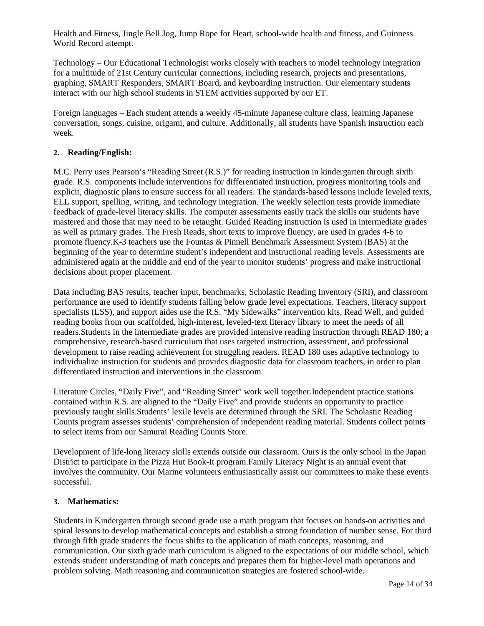Health and Fitness, Jingle Bell Jog, Jump Rope for Heart, school-wide health and fitness, and Guinness World Record attempt.

Technology – Our Educational Technologist works closely with teachers to model technology integration for a multitude of 21st Century curricular connections, including research, projects and presentations, graphing, SMART Responders, SMART Board, and keyboarding instruction. Our elementary students interact with our high school students in STEM activities supported by our ET.

Foreign languages – Each student attends a weekly 45-minute Japanese culture class, learning Japanese conversation, songs, cuisine, origami, and culture. Additionally, all students have Spanish instruction each week.

## **2. Reading/English:**

M.C. Perry uses Pearson's "Reading Street (R.S.)" for reading instruction in kindergarten through sixth grade. R.S. components include interventions for differentiated instruction, progress monitoring tools and explicit, diagnostic plans to ensure success for all readers. The standards-based lessons include leveled texts, ELL support, spelling, writing, and technology integration. The weekly selection tests provide immediate feedback of grade-level literacy skills. The computer assessments easily track the skills our students have mastered and those that may need to be retaught. Guided Reading instruction is used in intermediate grades as well as primary grades. The Fresh Reads, short texts to improve fluency, are used in grades 4-6 to promote fluency.K-3 teachers use the Fountas & Pinnell Benchmark Assessment System (BAS) at the beginning of the year to determine student's independent and instructional reading levels. Assessments are administered again at the middle and end of the year to monitor students' progress and make instructional decisions about proper placement.

Data including BAS results, teacher input, benchmarks, Scholastic Reading Inventory (SRI), and classroom performance are used to identify students falling below grade level expectations. Teachers, literacy support specialists (LSS), and support aides use the R.S. "My Sidewalks" intervention kits, Read Well, and guided reading books from our scaffolded, high-interest, leveled-text literacy library to meet the needs of all readers.Students in the intermediate grades are provided intensive reading instruction through READ 180; a comprehensive, research-based curriculum that uses targeted instruction, assessment, and professional development to raise reading achievement for struggling readers. READ 180 uses adaptive technology to individualize instruction for students and provides diagnostic data for classroom teachers, in order to plan differentiated instruction and interventions in the classroom.

Literature Circles, "Daily Five", and "Reading Street" work well together.Independent practice stations contained within R.S. are aligned to the "Daily Five" and provide students an opportunity to practice previously taught skills.Students' lexile levels are determined through the SRI. The Scholastic Reading Counts program assesses students' comprehension of independent reading material. Students collect points to select items from our Samurai Reading Counts Store.

Development of life-long literacy skills extends outside our classroom. Ours is the only school in the Japan District to participate in the Pizza Hut Book-It program.Family Literacy Night is an annual event that involves the community. Our Marine volunteers enthusiastically assist our committees to make these events successful.

### **3. Mathematics:**

Students in Kindergarten through second grade use a math program that focuses on hands-on activities and spiral lessons to develop mathematical concepts and establish a strong foundation of number sense. For third through fifth grade students the focus shifts to the application of math concepts, reasoning, and communication. Our sixth grade math curriculum is aligned to the expectations of our middle school, which extends student understanding of math concepts and prepares them for higher-level math operations and problem solving. Math reasoning and communication strategies are fostered school-wide.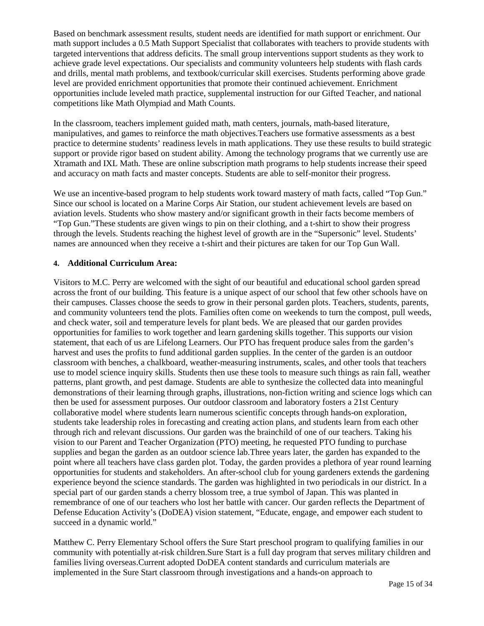Based on benchmark assessment results, student needs are identified for math support or enrichment. Our math support includes a 0.5 Math Support Specialist that collaborates with teachers to provide students with targeted interventions that address deficits. The small group interventions support students as they work to achieve grade level expectations. Our specialists and community volunteers help students with flash cards and drills, mental math problems, and textbook/curricular skill exercises. Students performing above grade level are provided enrichment opportunities that promote their continued achievement. Enrichment opportunities include leveled math practice, supplemental instruction for our Gifted Teacher, and national competitions like Math Olympiad and Math Counts.

In the classroom, teachers implement guided math, math centers, journals, math-based literature, manipulatives, and games to reinforce the math objectives.Teachers use formative assessments as a best practice to determine students' readiness levels in math applications. They use these results to build strategic support or provide rigor based on student ability. Among the technology programs that we currently use are Xtramath and IXL Math. These are online subscription math programs to help students increase their speed and accuracy on math facts and master concepts. Students are able to self-monitor their progress.

We use an incentive-based program to help students work toward mastery of math facts, called "Top Gun." Since our school is located on a Marine Corps Air Station, our student achievement levels are based on aviation levels. Students who show mastery and/or significant growth in their facts become members of "Top Gun."These students are given wings to pin on their clothing, and a t-shirt to show their progress through the levels. Students reaching the highest level of growth are in the "Supersonic" level. Students' names are announced when they receive a t-shirt and their pictures are taken for our Top Gun Wall.

## **4. Additional Curriculum Area:**

Visitors to M.C. Perry are welcomed with the sight of our beautiful and educational school garden spread across the front of our building. This feature is a unique aspect of our school that few other schools have on their campuses. Classes choose the seeds to grow in their personal garden plots. Teachers, students, parents, and community volunteers tend the plots. Families often come on weekends to turn the compost, pull weeds, and check water, soil and temperature levels for plant beds. We are pleased that our garden provides opportunities for families to work together and learn gardening skills together. This supports our vision statement, that each of us are Lifelong Learners. Our PTO has frequent produce sales from the garden's harvest and uses the profits to fund additional garden supplies. In the center of the garden is an outdoor classroom with benches, a chalkboard, weather-measuring instruments, scales, and other tools that teachers use to model science inquiry skills. Students then use these tools to measure such things as rain fall, weather patterns, plant growth, and pest damage. Students are able to synthesize the collected data into meaningful demonstrations of their learning through graphs, illustrations, non-fiction writing and science logs which can then be used for assessment purposes. Our outdoor classroom and laboratory fosters a 21st Century collaborative model where students learn numerous scientific concepts through hands-on exploration, students take leadership roles in forecasting and creating action plans, and students learn from each other through rich and relevant discussions. Our garden was the brainchild of one of our teachers. Taking his vision to our Parent and Teacher Organization (PTO) meeting, he requested PTO funding to purchase supplies and began the garden as an outdoor science lab.Three years later, the garden has expanded to the point where all teachers have class garden plot. Today, the garden provides a plethora of year round learning opportunities for students and stakeholders. An after-school club for young gardeners extends the gardening experience beyond the science standards. The garden was highlighted in two periodicals in our district. In a special part of our garden stands a cherry blossom tree, a true symbol of Japan. This was planted in remembrance of one of our teachers who lost her battle with cancer. Our garden reflects the Department of Defense Education Activity's (DoDEA) vision statement, "Educate, engage, and empower each student to succeed in a dynamic world."

Matthew C. Perry Elementary School offers the Sure Start preschool program to qualifying families in our community with potentially at-risk children.Sure Start is a full day program that serves military children and families living overseas.Current adopted DoDEA content standards and curriculum materials are implemented in the Sure Start classroom through investigations and a hands-on approach to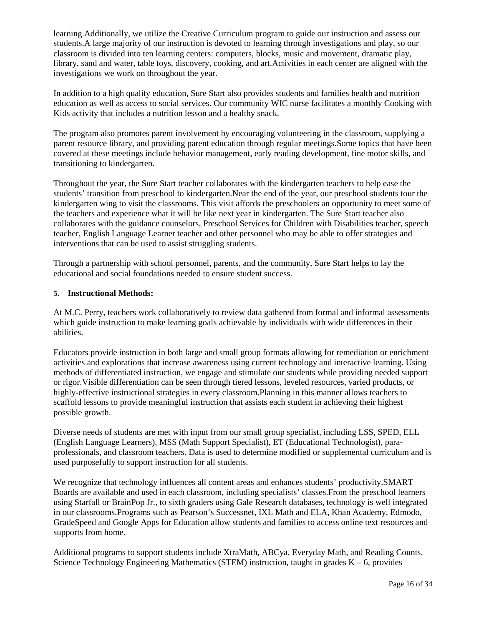learning.Additionally, we utilize the Creative Curriculum program to guide our instruction and assess our students.A large majority of our instruction is devoted to learning through investigations and play, so our classroom is divided into ten learning centers: computers, blocks, music and movement, dramatic play, library, sand and water, table toys, discovery, cooking, and art.Activities in each center are aligned with the investigations we work on throughout the year.

In addition to a high quality education, Sure Start also provides students and families health and nutrition education as well as access to social services. Our community WIC nurse facilitates a monthly Cooking with Kids activity that includes a nutrition lesson and a healthy snack.

The program also promotes parent involvement by encouraging volunteering in the classroom, supplying a parent resource library, and providing parent education through regular meetings.Some topics that have been covered at these meetings include behavior management, early reading development, fine motor skills, and transitioning to kindergarten.

Throughout the year, the Sure Start teacher collaborates with the kindergarten teachers to help ease the students' transition from preschool to kindergarten.Near the end of the year, our preschool students tour the kindergarten wing to visit the classrooms. This visit affords the preschoolers an opportunity to meet some of the teachers and experience what it will be like next year in kindergarten. The Sure Start teacher also collaborates with the guidance counselors, Preschool Services for Children with Disabilities teacher, speech teacher, English Language Learner teacher and other personnel who may be able to offer strategies and interventions that can be used to assist struggling students.

Through a partnership with school personnel, parents, and the community, Sure Start helps to lay the educational and social foundations needed to ensure student success.

### **5. Instructional Methods:**

At M.C. Perry, teachers work collaboratively to review data gathered from formal and informal assessments which guide instruction to make learning goals achievable by individuals with wide differences in their abilities.

Educators provide instruction in both large and small group formats allowing for remediation or enrichment activities and explorations that increase awareness using current technology and interactive learning. Using methods of differentiated instruction, we engage and stimulate our students while providing needed support or rigor.Visible differentiation can be seen through tiered lessons, leveled resources, varied products, or highly-effective instructional strategies in every classroom.Planning in this manner allows teachers to scaffold lessons to provide meaningful instruction that assists each student in achieving their highest possible growth.

Diverse needs of students are met with input from our small group specialist, including LSS, SPED, ELL (English Language Learners), MSS (Math Support Specialist), ET (Educational Technologist), paraprofessionals, and classroom teachers. Data is used to determine modified or supplemental curriculum and is used purposefully to support instruction for all students.

We recognize that technology influences all content areas and enhances students' productivity.SMART Boards are available and used in each classroom, including specialists' classes.From the preschool learners using Starfall or BrainPop Jr., to sixth graders using Gale Research databases, technology is well integrated in our classrooms.Programs such as Pearson's Successnet, IXL Math and ELA, Khan Academy, Edmodo, GradeSpeed and Google Apps for Education allow students and families to access online text resources and supports from home.

Additional programs to support students include XtraMath, ABCya, Everyday Math, and Reading Counts. Science Technology Engineering Mathematics (STEM) instruction, taught in grades  $K - 6$ , provides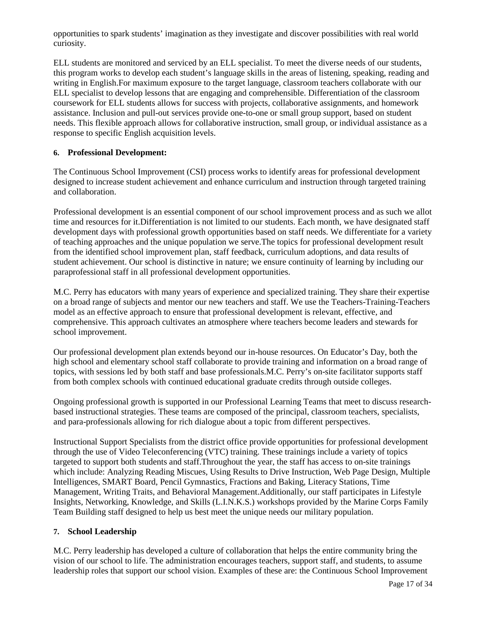opportunities to spark students' imagination as they investigate and discover possibilities with real world curiosity.

ELL students are monitored and serviced by an ELL specialist. To meet the diverse needs of our students, this program works to develop each student's language skills in the areas of listening, speaking, reading and writing in English.For maximum exposure to the target language, classroom teachers collaborate with our ELL specialist to develop lessons that are engaging and comprehensible. Differentiation of the classroom coursework for ELL students allows for success with projects, collaborative assignments, and homework assistance. Inclusion and pull-out services provide one-to-one or small group support, based on student needs. This flexible approach allows for collaborative instruction, small group, or individual assistance as a response to specific English acquisition levels.

## **6. Professional Development:**

The Continuous School Improvement (CSI) process works to identify areas for professional development designed to increase student achievement and enhance curriculum and instruction through targeted training and collaboration.

Professional development is an essential component of our school improvement process and as such we allot time and resources for it.Differentiation is not limited to our students. Each month, we have designated staff development days with professional growth opportunities based on staff needs. We differentiate for a variety of teaching approaches and the unique population we serve.The topics for professional development result from the identified school improvement plan, staff feedback, curriculum adoptions, and data results of student achievement. Our school is distinctive in nature; we ensure continuity of learning by including our paraprofessional staff in all professional development opportunities.

M.C. Perry has educators with many years of experience and specialized training. They share their expertise on a broad range of subjects and mentor our new teachers and staff. We use the Teachers-Training-Teachers model as an effective approach to ensure that professional development is relevant, effective, and comprehensive. This approach cultivates an atmosphere where teachers become leaders and stewards for school improvement.

Our professional development plan extends beyond our in-house resources. On Educator's Day, both the high school and elementary school staff collaborate to provide training and information on a broad range of topics, with sessions led by both staff and base professionals.M.C. Perry's on-site facilitator supports staff from both complex schools with continued educational graduate credits through outside colleges.

Ongoing professional growth is supported in our Professional Learning Teams that meet to discuss researchbased instructional strategies. These teams are composed of the principal, classroom teachers, specialists, and para-professionals allowing for rich dialogue about a topic from different perspectives.

Instructional Support Specialists from the district office provide opportunities for professional development through the use of Video Teleconferencing (VTC) training. These trainings include a variety of topics targeted to support both students and staff.Throughout the year, the staff has access to on-site trainings which include: Analyzing Reading Miscues, Using Results to Drive Instruction, Web Page Design, Multiple Intelligences, SMART Board, Pencil Gymnastics, Fractions and Baking, Literacy Stations, Time Management, Writing Traits, and Behavioral Management.Additionally, our staff participates in Lifestyle Insights, Networking, Knowledge, and Skills (L.I.N.K.S.) workshops provided by the Marine Corps Family Team Building staff designed to help us best meet the unique needs our military population.

### **7. School Leadership**

M.C. Perry leadership has developed a culture of collaboration that helps the entire community bring the vision of our school to life. The administration encourages teachers, support staff, and students, to assume leadership roles that support our school vision. Examples of these are: the Continuous School Improvement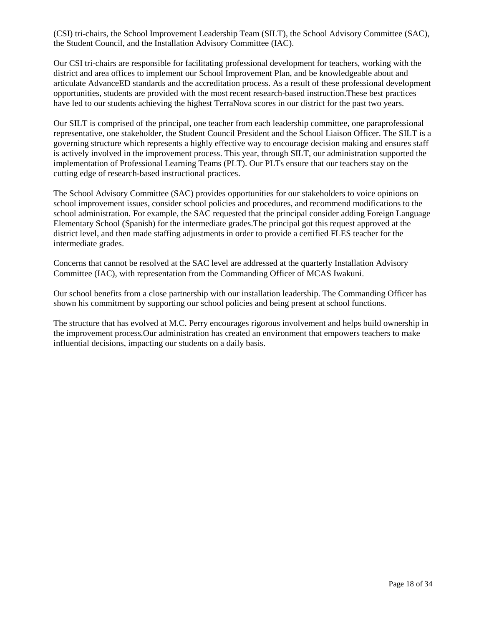(CSI) tri-chairs, the School Improvement Leadership Team (SILT), the School Advisory Committee (SAC), the Student Council, and the Installation Advisory Committee (IAC).

Our CSI tri-chairs are responsible for facilitating professional development for teachers, working with the district and area offices to implement our School Improvement Plan, and be knowledgeable about and articulate AdvanceED standards and the accreditation process. As a result of these professional development opportunities, students are provided with the most recent research-based instruction.These best practices have led to our students achieving the highest TerraNova scores in our district for the past two years.

Our SILT is comprised of the principal, one teacher from each leadership committee, one paraprofessional representative, one stakeholder, the Student Council President and the School Liaison Officer. The SILT is a governing structure which represents a highly effective way to encourage decision making and ensures staff is actively involved in the improvement process. This year, through SILT, our administration supported the implementation of Professional Learning Teams (PLT). Our PLTs ensure that our teachers stay on the cutting edge of research-based instructional practices.

The School Advisory Committee (SAC) provides opportunities for our stakeholders to voice opinions on school improvement issues, consider school policies and procedures, and recommend modifications to the school administration. For example, the SAC requested that the principal consider adding Foreign Language Elementary School (Spanish) for the intermediate grades.The principal got this request approved at the district level, and then made staffing adjustments in order to provide a certified FLES teacher for the intermediate grades.

Concerns that cannot be resolved at the SAC level are addressed at the quarterly Installation Advisory Committee (IAC), with representation from the Commanding Officer of MCAS Iwakuni.

Our school benefits from a close partnership with our installation leadership. The Commanding Officer has shown his commitment by supporting our school policies and being present at school functions.

The structure that has evolved at M.C. Perry encourages rigorous involvement and helps build ownership in the improvement process.Our administration has created an environment that empowers teachers to make influential decisions, impacting our students on a daily basis.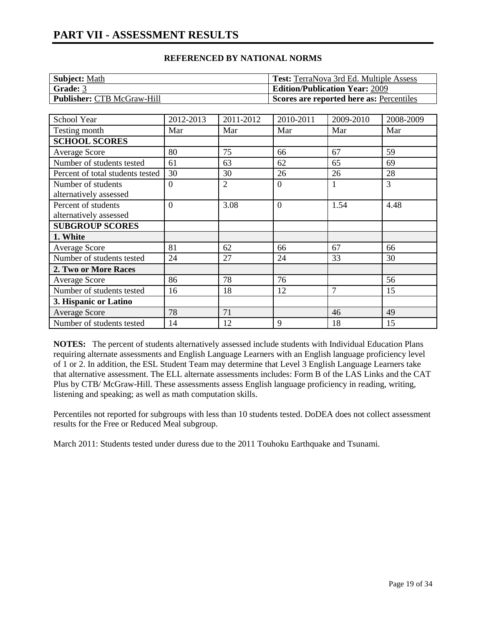# **PART VII - ASSESSMENT RESULTS**

### **REFERENCED BY NATIONAL NORMS**

| <b>Subject: Math</b>              | <b>Test:</b> TerraNova 3rd Ed. Multiple Assess |
|-----------------------------------|------------------------------------------------|
| Grade: 3                          | <b>Edition/Publication Year: 2009</b>          |
| <b>Publisher: CTB McGraw-Hill</b> | Scores are reported here as: Percentiles       |

| School Year                      | 2012-2013      | 2011-2012      | 2010-2011      | 2009-2010      | 2008-2009 |
|----------------------------------|----------------|----------------|----------------|----------------|-----------|
| Testing month                    | Mar            | Mar            | Mar            | Mar            | Mar       |
| <b>SCHOOL SCORES</b>             |                |                |                |                |           |
| <b>Average Score</b>             | 80             | 75             | 66             | 67             | 59        |
| Number of students tested        | 61             | 63             | 62             | 65             | 69        |
| Percent of total students tested | 30             | 30             | 26             | 26             | 28        |
| Number of students               | $\overline{0}$ | $\overline{2}$ | $\theta$       |                | 3         |
| alternatively assessed           |                |                |                |                |           |
| Percent of students              | $\overline{0}$ | 3.08           | $\overline{0}$ | 1.54           | 4.48      |
| alternatively assessed           |                |                |                |                |           |
| <b>SUBGROUP SCORES</b>           |                |                |                |                |           |
| 1. White                         |                |                |                |                |           |
| <b>Average Score</b>             | 81             | 62             | 66             | 67             | 66        |
| Number of students tested        | 24             | 27             | 24             | 33             | 30        |
| 2. Two or More Races             |                |                |                |                |           |
| <b>Average Score</b>             | 86             | 78             | 76             |                | 56        |
| Number of students tested        | 16             | 18             | 12             | $\overline{7}$ | 15        |
| 3. Hispanic or Latino            |                |                |                |                |           |
| Average Score                    | 78             | 71             |                | 46             | 49        |
| Number of students tested        | 14             | 12             | 9              | 18             | 15        |

**NOTES:** The percent of students alternatively assessed include students with Individual Education Plans requiring alternate assessments and English Language Learners with an English language proficiency level of 1 or 2. In addition, the ESL Student Team may determine that Level 3 English Language Learners take that alternative assessment. The ELL alternate assessments includes: Form B of the LAS Links and the CAT Plus by CTB/ McGraw-Hill. These assessments assess English language proficiency in reading, writing, listening and speaking; as well as math computation skills.

Percentiles not reported for subgroups with less than 10 students tested. DoDEA does not collect assessment results for the Free or Reduced Meal subgroup.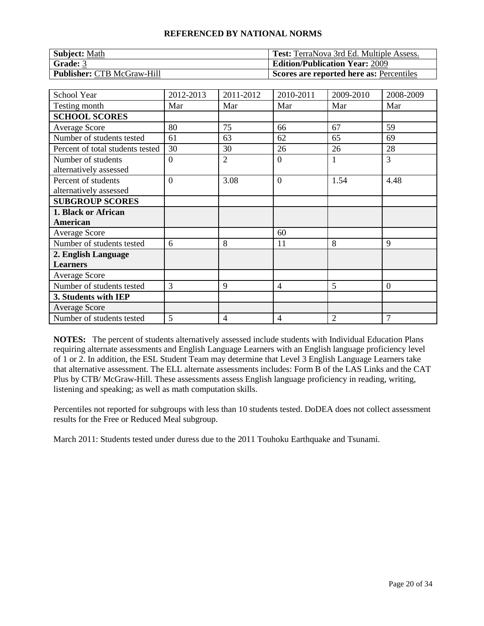| <b>Subject: Math</b>              | <b>Test:</b> TerraNova 3rd Ed. Multiple Assess. |
|-----------------------------------|-------------------------------------------------|
| <b>Grade: 3</b>                   | <b>Edition/Publication Year: 2009</b>           |
| <b>Publisher: CTB McGraw-Hill</b> | Scores are reported here as: Percentiles        |

| School Year                      | 2012-2013 | 2011-2012      | 2010-2011      | 2009-2010 | 2008-2009      |
|----------------------------------|-----------|----------------|----------------|-----------|----------------|
| Testing month                    | Mar       | Mar            | Mar            | Mar       | Mar            |
| <b>SCHOOL SCORES</b>             |           |                |                |           |                |
| <b>Average Score</b>             | 80        | 75             | 66             | 67        | 59             |
| Number of students tested        | 61        | 63             | 62             | 65        | 69             |
| Percent of total students tested | 30        | 30             | 26             | 26        | 28             |
| Number of students               | $\theta$  | $\overline{2}$ | $\overline{0}$ |           | 3              |
| alternatively assessed           |           |                |                |           |                |
| Percent of students              | $\Omega$  | 3.08           | $\overline{0}$ | 1.54      | 4.48           |
| alternatively assessed           |           |                |                |           |                |
| <b>SUBGROUP SCORES</b>           |           |                |                |           |                |
| 1. Black or African              |           |                |                |           |                |
| American                         |           |                |                |           |                |
| <b>Average Score</b>             |           |                | 60             |           |                |
| Number of students tested        | 6         | 8              | 11             | 8         | 9              |
| 2. English Language              |           |                |                |           |                |
| <b>Learners</b>                  |           |                |                |           |                |
| Average Score                    |           |                |                |           |                |
| Number of students tested        | 3         | 9              | 4              | 5         | $\overline{0}$ |
| 3. Students with IEP             |           |                |                |           |                |
| <b>Average Score</b>             |           |                |                |           |                |
| Number of students tested        | 5         | $\overline{4}$ | 4              | 2         | 7              |

**NOTES:** The percent of students alternatively assessed include students with Individual Education Plans requiring alternate assessments and English Language Learners with an English language proficiency level of 1 or 2. In addition, the ESL Student Team may determine that Level 3 English Language Learners take that alternative assessment. The ELL alternate assessments includes: Form B of the LAS Links and the CAT Plus by CTB/ McGraw-Hill. These assessments assess English language proficiency in reading, writing, listening and speaking; as well as math computation skills.

Percentiles not reported for subgroups with less than 10 students tested. DoDEA does not collect assessment results for the Free or Reduced Meal subgroup.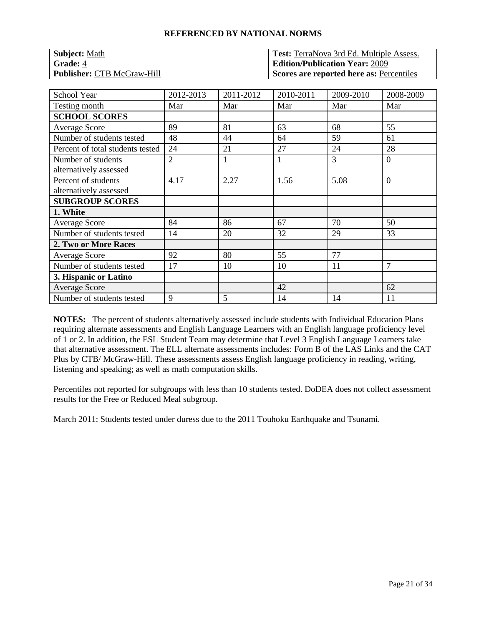| <b>Subject: Math</b>              | <b>Test:</b> TerraNova 3rd Ed. Multiple Assess. |
|-----------------------------------|-------------------------------------------------|
| <b>Grade: 4</b>                   | <b>Edition/Publication Year: 2009</b>           |
| <b>Publisher: CTB McGraw-Hill</b> | Scores are reported here as: Percentiles        |

| <b>School Year</b>               | 2012-2013      | 2011-2012 | 2010-2011    | 2009-2010 | 2008-2009      |
|----------------------------------|----------------|-----------|--------------|-----------|----------------|
| Testing month                    | Mar            | Mar       | Mar          | Mar       | Mar            |
| <b>SCHOOL SCORES</b>             |                |           |              |           |                |
| <b>Average Score</b>             | 89             | 81        | 63           | 68        | 55             |
| Number of students tested        | 48             | 44        | 64           | 59        | 61             |
| Percent of total students tested | 24             | 21        | 27           | 24        | 28             |
| Number of students               | $\overline{2}$ |           | $\mathbf{1}$ | 3         | $\overline{0}$ |
| alternatively assessed           |                |           |              |           |                |
| Percent of students              | 4.17           | 2.27      | 1.56         | 5.08      | $\overline{0}$ |
| alternatively assessed           |                |           |              |           |                |
| <b>SUBGROUP SCORES</b>           |                |           |              |           |                |
| 1. White                         |                |           |              |           |                |
| <b>Average Score</b>             | 84             | 86        | 67           | 70        | 50             |
| Number of students tested        | 14             | 20        | 32           | 29        | 33             |
| 2. Two or More Races             |                |           |              |           |                |
| <b>Average Score</b>             | 92             | 80        | 55           | 77        |                |
| Number of students tested        | 17             | 10        | 10           | 11        | 7              |
| 3. Hispanic or Latino            |                |           |              |           |                |
| <b>Average Score</b>             |                |           | 42           |           | 62             |
| Number of students tested        | 9              | 5         | 14           | 14        | 11             |

**NOTES:** The percent of students alternatively assessed include students with Individual Education Plans requiring alternate assessments and English Language Learners with an English language proficiency level of 1 or 2. In addition, the ESL Student Team may determine that Level 3 English Language Learners take that alternative assessment. The ELL alternate assessments includes: Form B of the LAS Links and the CAT Plus by CTB/ McGraw-Hill. These assessments assess English language proficiency in reading, writing, listening and speaking; as well as math computation skills.

Percentiles not reported for subgroups with less than 10 students tested. DoDEA does not collect assessment results for the Free or Reduced Meal subgroup.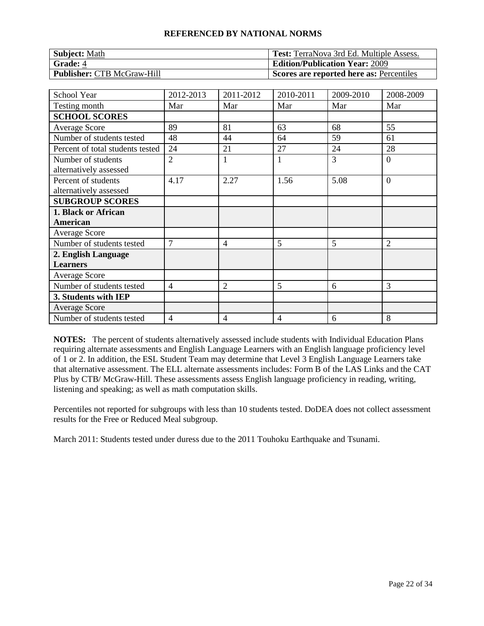| <b>Subject: Math</b>              | <b>Test:</b> TerraNova 3rd Ed. Multiple Assess. |
|-----------------------------------|-------------------------------------------------|
| <b>Grade: 4</b>                   | <b>Edition/Publication Year: 2009</b>           |
| <b>Publisher: CTB McGraw-Hill</b> | Scores are reported here as: Percentiles        |

| School Year                      | 2012-2013      | 2011-2012      | 2010-2011 | 2009-2010 | 2008-2009      |
|----------------------------------|----------------|----------------|-----------|-----------|----------------|
| Testing month                    | Mar            | Mar            | Mar       | Mar       | Mar            |
| <b>SCHOOL SCORES</b>             |                |                |           |           |                |
| <b>Average Score</b>             | 89             | 81             | 63        | 68        | 55             |
| Number of students tested        | 48             | 44             | 64        | 59        | 61             |
| Percent of total students tested | 24             | 21             | 27        | 24        | 28             |
| Number of students               | $\overline{2}$ | 1              | 1         | 3         | $\overline{0}$ |
| alternatively assessed           |                |                |           |           |                |
| Percent of students              | 4.17           | 2.27           | 1.56      | 5.08      | $\overline{0}$ |
| alternatively assessed           |                |                |           |           |                |
| <b>SUBGROUP SCORES</b>           |                |                |           |           |                |
| 1. Black or African              |                |                |           |           |                |
| American                         |                |                |           |           |                |
| Average Score                    |                |                |           |           |                |
| Number of students tested        | $\overline{7}$ | $\overline{4}$ | 5         | 5         | 2              |
| 2. English Language              |                |                |           |           |                |
| <b>Learners</b>                  |                |                |           |           |                |
| Average Score                    |                |                |           |           |                |
| Number of students tested        | 4              | $\overline{2}$ | 5         | 6         | 3              |
| 3. Students with IEP             |                |                |           |           |                |
| <b>Average Score</b>             |                |                |           |           |                |
| Number of students tested        | 4              | 4              | 4         | 6         | 8              |

**NOTES:** The percent of students alternatively assessed include students with Individual Education Plans requiring alternate assessments and English Language Learners with an English language proficiency level of 1 or 2. In addition, the ESL Student Team may determine that Level 3 English Language Learners take that alternative assessment. The ELL alternate assessments includes: Form B of the LAS Links and the CAT Plus by CTB/ McGraw-Hill. These assessments assess English language proficiency in reading, writing, listening and speaking; as well as math computation skills.

Percentiles not reported for subgroups with less than 10 students tested. DoDEA does not collect assessment results for the Free or Reduced Meal subgroup.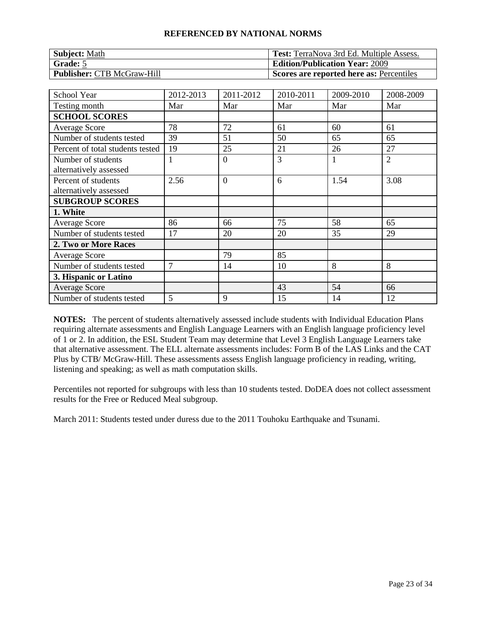| <b>Subject: Math</b>              | <b>Test:</b> TerraNova 3rd Ed. Multiple Assess. |
|-----------------------------------|-------------------------------------------------|
| Grade: 5                          | <b>Edition/Publication Year: 2009</b>           |
| <b>Publisher: CTB McGraw-Hill</b> | Scores are reported here as: Percentiles        |

| <b>School Year</b>                            | 2012-2013      | 2011-2012      | 2010-2011 | 2009-2010 | 2008-2009      |
|-----------------------------------------------|----------------|----------------|-----------|-----------|----------------|
| Testing month                                 | Mar            | Mar            | Mar       | Mar       | Mar            |
| <b>SCHOOL SCORES</b>                          |                |                |           |           |                |
| Average Score                                 | 78             | 72             | 61        | 60        | 61             |
| Number of students tested                     | 39             | 51             | 50        | 65        | 65             |
| Percent of total students tested              | 19             | 25             | 21        | 26        | 27             |
| Number of students<br>alternatively assessed  |                | $\overline{0}$ | 3         |           | $\overline{2}$ |
| Percent of students<br>alternatively assessed | 2.56           | $\overline{0}$ | 6         | 1.54      | 3.08           |
| <b>SUBGROUP SCORES</b>                        |                |                |           |           |                |
| 1. White                                      |                |                |           |           |                |
| <b>Average Score</b>                          | 86             | 66             | 75        | 58        | 65             |
| Number of students tested                     | 17             | 20             | 20        | 35        | 29             |
| 2. Two or More Races                          |                |                |           |           |                |
| Average Score                                 |                | 79             | 85        |           |                |
| Number of students tested                     | $\overline{7}$ | 14             | 10        | 8         | 8              |
| 3. Hispanic or Latino                         |                |                |           |           |                |
| <b>Average Score</b>                          |                |                | 43        | 54        | 66             |
| Number of students tested                     | 5              | 9              | 15        | 14        | 12             |

**NOTES:** The percent of students alternatively assessed include students with Individual Education Plans requiring alternate assessments and English Language Learners with an English language proficiency level of 1 or 2. In addition, the ESL Student Team may determine that Level 3 English Language Learners take that alternative assessment. The ELL alternate assessments includes: Form B of the LAS Links and the CAT Plus by CTB/ McGraw-Hill. These assessments assess English language proficiency in reading, writing, listening and speaking; as well as math computation skills.

Percentiles not reported for subgroups with less than 10 students tested. DoDEA does not collect assessment results for the Free or Reduced Meal subgroup.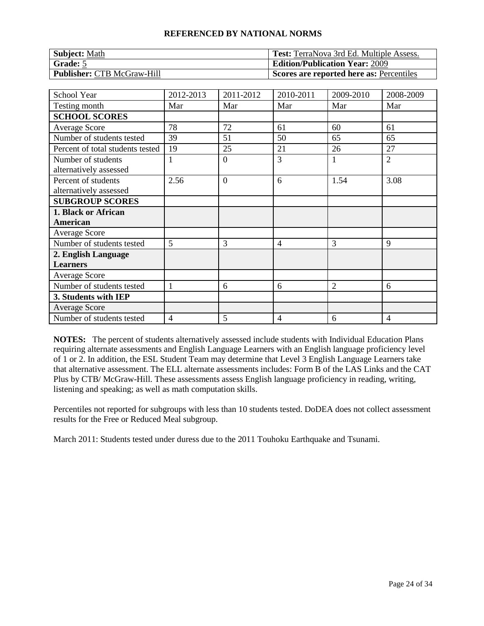| <b>Subject: Math</b>              | <b>Test:</b> TerraNova 3rd Ed. Multiple Assess. |
|-----------------------------------|-------------------------------------------------|
| Grade: 5                          | <b>Edition/Publication Year: 2009</b>           |
| <b>Publisher: CTB McGraw-Hill</b> | Scores are reported here as: Percentiles        |

| <b>School Year</b>               | 2012-2013 | 2011-2012      | 2010-2011      | 2009-2010 | 2008-2009      |
|----------------------------------|-----------|----------------|----------------|-----------|----------------|
| Testing month                    | Mar       | Mar            | Mar            | Mar       | Mar            |
| <b>SCHOOL SCORES</b>             |           |                |                |           |                |
| Average Score                    | 78        | 72             | 61             | 60        | 61             |
| Number of students tested        | 39        | 51             | 50             | 65        | 65             |
| Percent of total students tested | 19        | 25             | 21             | 26        | 27             |
| Number of students               | 1         | $\overline{0}$ | $\overline{3}$ |           | $\overline{2}$ |
| alternatively assessed           |           |                |                |           |                |
| Percent of students              | 2.56      | $\overline{0}$ | 6              | 1.54      | 3.08           |
| alternatively assessed           |           |                |                |           |                |
| <b>SUBGROUP SCORES</b>           |           |                |                |           |                |
| 1. Black or African              |           |                |                |           |                |
| American                         |           |                |                |           |                |
| Average Score                    |           |                |                |           |                |
| Number of students tested        | 5         | 3              | 4              | 3         | 9              |
| 2. English Language              |           |                |                |           |                |
| <b>Learners</b>                  |           |                |                |           |                |
| Average Score                    |           |                |                |           |                |
| Number of students tested        | 1         | 6              | 6              | 2         | 6              |
| 3. Students with IEP             |           |                |                |           |                |
| <b>Average Score</b>             |           |                |                |           |                |
| Number of students tested        | 4         | 5              | 4              | 6         | 4              |

**NOTES:** The percent of students alternatively assessed include students with Individual Education Plans requiring alternate assessments and English Language Learners with an English language proficiency level of 1 or 2. In addition, the ESL Student Team may determine that Level 3 English Language Learners take that alternative assessment. The ELL alternate assessments includes: Form B of the LAS Links and the CAT Plus by CTB/ McGraw-Hill. These assessments assess English language proficiency in reading, writing, listening and speaking; as well as math computation skills.

Percentiles not reported for subgroups with less than 10 students tested. DoDEA does not collect assessment results for the Free or Reduced Meal subgroup.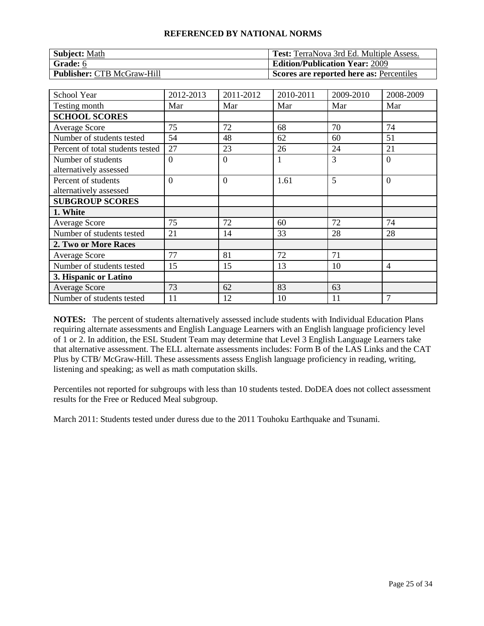| <b>Subject: Math</b>              | <b>Test:</b> TerraNova 3rd Ed. Multiple Assess. |
|-----------------------------------|-------------------------------------------------|
| <b>Grade:</b> 6                   | <b>Edition/Publication Year: 2009</b>           |
| <b>Publisher: CTB McGraw-Hill</b> | Scores are reported here as: Percentiles        |

| <b>School Year</b>                            | 2012-2013 | 2011-2012      | 2010-2011 | 2009-2010 | 2008-2009 |
|-----------------------------------------------|-----------|----------------|-----------|-----------|-----------|
| Testing month                                 | Mar       | Mar            | Mar       | Mar       | Mar       |
| <b>SCHOOL SCORES</b>                          |           |                |           |           |           |
| <b>Average Score</b>                          | 75        | 72             | 68        | 70        | 74        |
| Number of students tested                     | 54        | 48             | 62        | 60        | 51        |
| Percent of total students tested              | 27        | 23             | 26        | 24        | 21        |
| Number of students<br>alternatively assessed  | $\Omega$  | $\overline{0}$ | 1         | 3         | $\theta$  |
| Percent of students<br>alternatively assessed | $\Omega$  | $\overline{0}$ | 1.61      | 5         | $\theta$  |
| <b>SUBGROUP SCORES</b>                        |           |                |           |           |           |
| 1. White                                      |           |                |           |           |           |
| <b>Average Score</b>                          | 75        | 72             | 60        | 72        | 74        |
| Number of students tested                     | 21        | 14             | 33        | 28        | 28        |
| 2. Two or More Races                          |           |                |           |           |           |
| Average Score                                 | 77        | 81             | 72        | 71        |           |
| Number of students tested                     | 15        | 15             | 13        | 10        | 4         |
| 3. Hispanic or Latino                         |           |                |           |           |           |
| <b>Average Score</b>                          | 73        | 62             | 83        | 63        |           |
| Number of students tested                     | 11        | 12             | 10        | 11        | 7         |

**NOTES:** The percent of students alternatively assessed include students with Individual Education Plans requiring alternate assessments and English Language Learners with an English language proficiency level of 1 or 2. In addition, the ESL Student Team may determine that Level 3 English Language Learners take that alternative assessment. The ELL alternate assessments includes: Form B of the LAS Links and the CAT Plus by CTB/ McGraw-Hill. These assessments assess English language proficiency in reading, writing, listening and speaking; as well as math computation skills.

Percentiles not reported for subgroups with less than 10 students tested. DoDEA does not collect assessment results for the Free or Reduced Meal subgroup.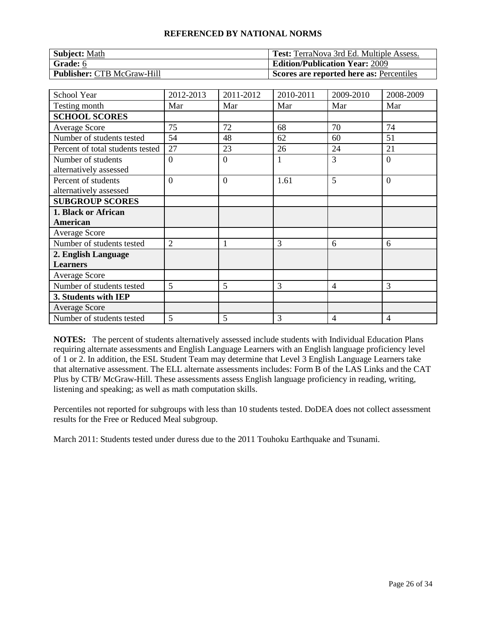| <b>Subject: Math</b>              | <b>Test:</b> TerraNova 3rd Ed. Multiple Assess. |
|-----------------------------------|-------------------------------------------------|
| Grade: 6                          | <b>Edition/Publication Year: 2009</b>           |
| <b>Publisher: CTB McGraw-Hill</b> | Scores are reported here as: Percentiles        |

| <b>School Year</b>               | 2012-2013      | 2011-2012      | 2010-2011 | 2009-2010      | 2008-2009      |
|----------------------------------|----------------|----------------|-----------|----------------|----------------|
| Testing month                    | Mar            | Mar            | Mar       | Mar            | Mar            |
| <b>SCHOOL SCORES</b>             |                |                |           |                |                |
| Average Score                    | 75             | 72             | 68        | 70             | 74             |
| Number of students tested        | 54             | 48             | 62        | 60             | 51             |
| Percent of total students tested | 27             | 23             | 26        | 24             | 21             |
| Number of students               | $\overline{0}$ | $\overline{0}$ | 1         | 3              | $\overline{0}$ |
| alternatively assessed           |                |                |           |                |                |
| Percent of students              | $\Omega$       | $\overline{0}$ | 1.61      | 5              | $\overline{0}$ |
| alternatively assessed           |                |                |           |                |                |
| <b>SUBGROUP SCORES</b>           |                |                |           |                |                |
| 1. Black or African              |                |                |           |                |                |
| American                         |                |                |           |                |                |
| Average Score                    |                |                |           |                |                |
| Number of students tested        | $\overline{2}$ |                | 3         | 6              | 6              |
| 2. English Language              |                |                |           |                |                |
| <b>Learners</b>                  |                |                |           |                |                |
| Average Score                    |                |                |           |                |                |
| Number of students tested        | 5              | 5              | 3         | $\overline{4}$ | 3              |
| 3. Students with IEP             |                |                |           |                |                |
| <b>Average Score</b>             |                |                |           |                |                |
| Number of students tested        | 5              | 5              | 3         | 4              | 4              |

**NOTES:** The percent of students alternatively assessed include students with Individual Education Plans requiring alternate assessments and English Language Learners with an English language proficiency level of 1 or 2. In addition, the ESL Student Team may determine that Level 3 English Language Learners take that alternative assessment. The ELL alternate assessments includes: Form B of the LAS Links and the CAT Plus by CTB/ McGraw-Hill. These assessments assess English language proficiency in reading, writing, listening and speaking; as well as math computation skills.

Percentiles not reported for subgroups with less than 10 students tested. DoDEA does not collect assessment results for the Free or Reduced Meal subgroup.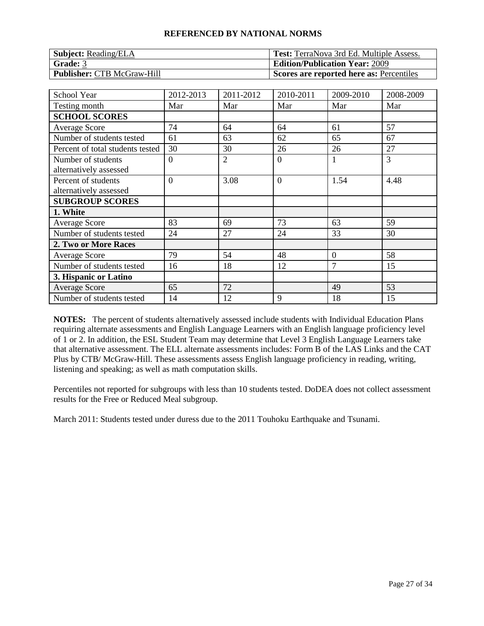| <b>Subject:</b> Reading/ELA       | <b>Test:</b> TerraNova 3rd Ed. Multiple Assess. |
|-----------------------------------|-------------------------------------------------|
| <b>Grade: 3</b>                   | <b>Edition/Publication Year: 2009</b>           |
| <b>Publisher: CTB McGraw-Hill</b> | Scores are reported here as: Percentiles        |

| <b>School Year</b>               | 2012-2013      | 2011-2012      | 2010-2011      | 2009-2010      | 2008-2009 |
|----------------------------------|----------------|----------------|----------------|----------------|-----------|
| Testing month                    | Mar            | Mar            | Mar            | Mar            | Mar       |
| <b>SCHOOL SCORES</b>             |                |                |                |                |           |
| <b>Average Score</b>             | 74             | 64             | 64             | 61             | 57        |
| Number of students tested        | 61             | 63             | 62             | 65             | 67        |
| Percent of total students tested | 30             | 30             | 26             | 26             | 27        |
| Number of students               | $\overline{0}$ | $\overline{2}$ | $\overline{0}$ |                | 3         |
| alternatively assessed           |                |                |                |                |           |
| Percent of students              | $\Omega$       | 3.08           | $\overline{0}$ | 1.54           | 4.48      |
| alternatively assessed           |                |                |                |                |           |
| <b>SUBGROUP SCORES</b>           |                |                |                |                |           |
| 1. White                         |                |                |                |                |           |
| <b>Average Score</b>             | 83             | 69             | 73             | 63             | 59        |
| Number of students tested        | 24             | 27             | 24             | 33             | 30        |
| 2. Two or More Races             |                |                |                |                |           |
| <b>Average Score</b>             | 79             | 54             | 48             | $\overline{0}$ | 58        |
| Number of students tested        | 16             | 18             | 12             | 7              | 15        |
| 3. Hispanic or Latino            |                |                |                |                |           |
| <b>Average Score</b>             | 65             | 72             |                | 49             | 53        |
| Number of students tested        | 14             | 12             | 9              | 18             | 15        |

**NOTES:** The percent of students alternatively assessed include students with Individual Education Plans requiring alternate assessments and English Language Learners with an English language proficiency level of 1 or 2. In addition, the ESL Student Team may determine that Level 3 English Language Learners take that alternative assessment. The ELL alternate assessments includes: Form B of the LAS Links and the CAT Plus by CTB/ McGraw-Hill. These assessments assess English language proficiency in reading, writing, listening and speaking; as well as math computation skills.

Percentiles not reported for subgroups with less than 10 students tested. DoDEA does not collect assessment results for the Free or Reduced Meal subgroup.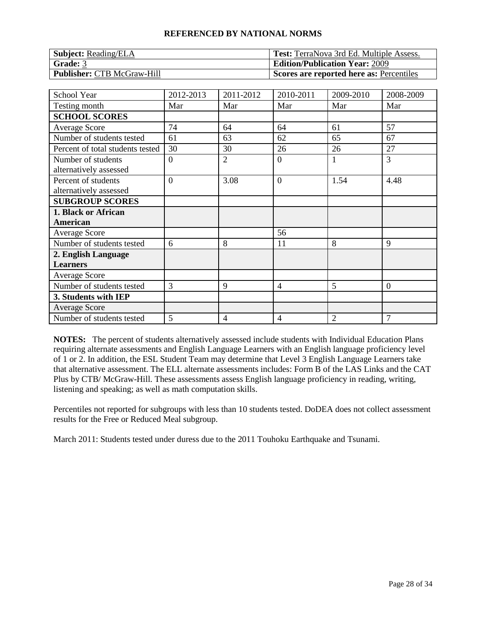| <b>Subject:</b> Reading/ELA       | <b>Test:</b> TerraNova 3rd Ed. Multiple Assess. |
|-----------------------------------|-------------------------------------------------|
| Grade: 3                          | <b>Edition/Publication Year: 2009</b>           |
| <b>Publisher: CTB McGraw-Hill</b> | Scores are reported here as: Percentiles        |

| School Year                      | 2012-2013 | 2011-2012      | 2010-2011      | 2009-2010 | 2008-2009      |
|----------------------------------|-----------|----------------|----------------|-----------|----------------|
| Testing month                    | Mar       | Mar            | Mar            | Mar       | Mar            |
| <b>SCHOOL SCORES</b>             |           |                |                |           |                |
| <b>Average Score</b>             | 74        | 64             | 64             | 61        | 57             |
| Number of students tested        | 61        | 63             | 62             | 65        | 67             |
| Percent of total students tested | 30        | 30             | 26             | 26        | 27             |
| Number of students               | $\theta$  | $\overline{2}$ | $\overline{0}$ |           | 3              |
| alternatively assessed           |           |                |                |           |                |
| Percent of students              | $\Omega$  | 3.08           | $\overline{0}$ | 1.54      | 4.48           |
| alternatively assessed           |           |                |                |           |                |
| <b>SUBGROUP SCORES</b>           |           |                |                |           |                |
| 1. Black or African              |           |                |                |           |                |
| American                         |           |                |                |           |                |
| <b>Average Score</b>             |           |                | 56             |           |                |
| Number of students tested        | 6         | 8              | 11             | 8         | 9              |
| 2. English Language              |           |                |                |           |                |
| <b>Learners</b>                  |           |                |                |           |                |
| Average Score                    |           |                |                |           |                |
| Number of students tested        | 3         | 9              | 4              | 5         | $\overline{0}$ |
| 3. Students with IEP             |           |                |                |           |                |
| <b>Average Score</b>             |           |                |                |           |                |
| Number of students tested        | 5         | $\overline{4}$ | 4              | 2         | 7              |

**NOTES:** The percent of students alternatively assessed include students with Individual Education Plans requiring alternate assessments and English Language Learners with an English language proficiency level of 1 or 2. In addition, the ESL Student Team may determine that Level 3 English Language Learners take that alternative assessment. The ELL alternate assessments includes: Form B of the LAS Links and the CAT Plus by CTB/ McGraw-Hill. These assessments assess English language proficiency in reading, writing, listening and speaking; as well as math computation skills.

Percentiles not reported for subgroups with less than 10 students tested. DoDEA does not collect assessment results for the Free or Reduced Meal subgroup.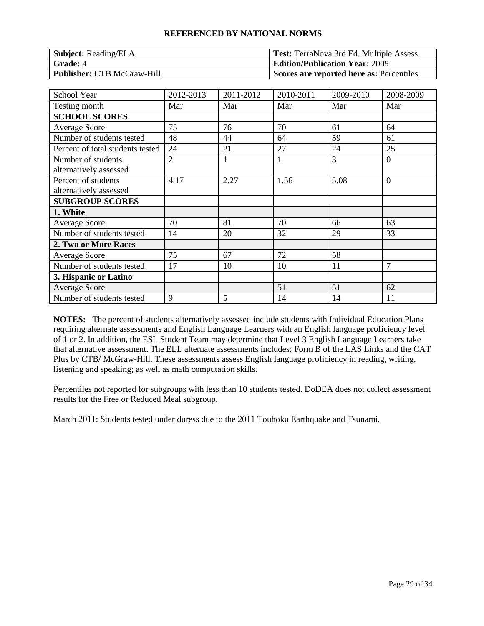| <b>Subject:</b> Reading/ELA       | <b>Test:</b> TerraNova 3rd Ed. Multiple Assess. |
|-----------------------------------|-------------------------------------------------|
| <b>Grade: 4</b>                   | <b>Edition/Publication Year: 2009</b>           |
| <b>Publisher: CTB McGraw-Hill</b> | Scores are reported here as: Percentiles        |

| <b>School Year</b>               | 2012-2013      | 2011-2012 | 2010-2011    | 2009-2010 | 2008-2009      |
|----------------------------------|----------------|-----------|--------------|-----------|----------------|
| Testing month                    | Mar            | Mar       | Mar          | Mar       | Mar            |
| <b>SCHOOL SCORES</b>             |                |           |              |           |                |
| <b>Average Score</b>             | 75             | 76        | 70           | 61        | 64             |
| Number of students tested        | 48             | 44        | 64           | 59        | 61             |
| Percent of total students tested | 24             | 21        | 27           | 24        | 25             |
| Number of students               | $\overline{2}$ | 1         | $\mathbf{1}$ | 3         | $\theta$       |
| alternatively assessed           |                |           |              |           |                |
| Percent of students              | 4.17           | 2.27      | 1.56         | 5.08      | $\overline{0}$ |
| alternatively assessed           |                |           |              |           |                |
| <b>SUBGROUP SCORES</b>           |                |           |              |           |                |
| 1. White                         |                |           |              |           |                |
| <b>Average Score</b>             | 70             | 81        | 70           | 66        | 63             |
| Number of students tested        | 14             | 20        | 32           | 29        | 33             |
| 2. Two or More Races             |                |           |              |           |                |
| <b>Average Score</b>             | 75             | 67        | 72           | 58        |                |
| Number of students tested        | 17             | 10        | 10           | 11        | 7              |
| 3. Hispanic or Latino            |                |           |              |           |                |
| <b>Average Score</b>             |                |           | 51           | 51        | 62             |
| Number of students tested        | 9              | 5         | 14           | 14        | 11             |

**NOTES:** The percent of students alternatively assessed include students with Individual Education Plans requiring alternate assessments and English Language Learners with an English language proficiency level of 1 or 2. In addition, the ESL Student Team may determine that Level 3 English Language Learners take that alternative assessment. The ELL alternate assessments includes: Form B of the LAS Links and the CAT Plus by CTB/ McGraw-Hill. These assessments assess English language proficiency in reading, writing, listening and speaking; as well as math computation skills.

Percentiles not reported for subgroups with less than 10 students tested. DoDEA does not collect assessment results for the Free or Reduced Meal subgroup.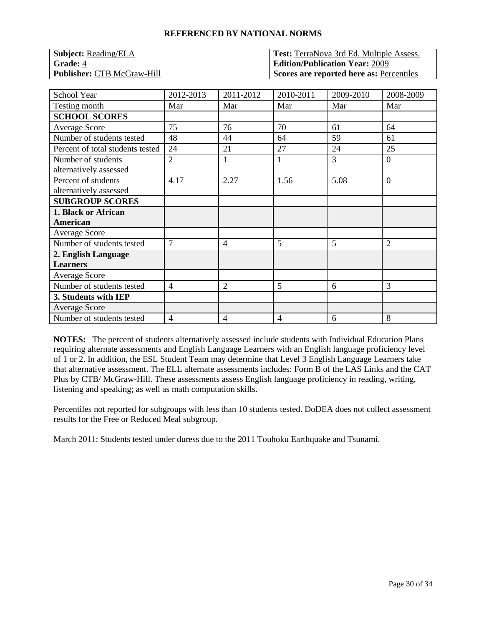| <b>Subject:</b> Reading/ELA       | <b>Test:</b> TerraNova 3rd Ed. Multiple Assess. |
|-----------------------------------|-------------------------------------------------|
| <b>Grade: 4</b>                   | <b>Edition/Publication Year: 2009</b>           |
| <b>Publisher: CTB McGraw-Hill</b> | Scores are reported here as: Percentiles        |

| School Year                      | 2012-2013      | 2011-2012      | 2010-2011    | 2009-2010 | 2008-2009      |
|----------------------------------|----------------|----------------|--------------|-----------|----------------|
| Testing month                    | Mar            | Mar            | Mar          | Mar       | Mar            |
| <b>SCHOOL SCORES</b>             |                |                |              |           |                |
| Average Score                    | 75             | 76             | 70           | 61        | 64             |
| Number of students tested        | 48             | 44             | 64           | 59        | 61             |
| Percent of total students tested | 24             | 21             | 27           | 24        | 25             |
| Number of students               | $\overline{2}$ | 1              | $\mathbf{1}$ | 3         | $\overline{0}$ |
| alternatively assessed           |                |                |              |           |                |
| Percent of students              | 4.17           | 2.27           | 1.56         | 5.08      | $\overline{0}$ |
| alternatively assessed           |                |                |              |           |                |
| <b>SUBGROUP SCORES</b>           |                |                |              |           |                |
| 1. Black or African              |                |                |              |           |                |
| American                         |                |                |              |           |                |
| <b>Average Score</b>             |                |                |              |           |                |
| Number of students tested        | $\overline{7}$ | $\overline{4}$ | 5            | 5         | $\overline{2}$ |
| 2. English Language              |                |                |              |           |                |
| <b>Learners</b>                  |                |                |              |           |                |
| <b>Average Score</b>             |                |                |              |           |                |
| Number of students tested        | $\overline{4}$ | $\overline{2}$ | 5            | 6         | 3              |
| 3. Students with IEP             |                |                |              |           |                |
| <b>Average Score</b>             |                |                |              |           |                |
| Number of students tested        | 4              | $\overline{4}$ | 4            | 6         | 8              |

**NOTES:** The percent of students alternatively assessed include students with Individual Education Plans requiring alternate assessments and English Language Learners with an English language proficiency level of 1 or 2. In addition, the ESL Student Team may determine that Level 3 English Language Learners take that alternative assessment. The ELL alternate assessments includes: Form B of the LAS Links and the CAT Plus by CTB/ McGraw-Hill. These assessments assess English language proficiency in reading, writing, listening and speaking; as well as math computation skills.

Percentiles not reported for subgroups with less than 10 students tested. DoDEA does not collect assessment results for the Free or Reduced Meal subgroup.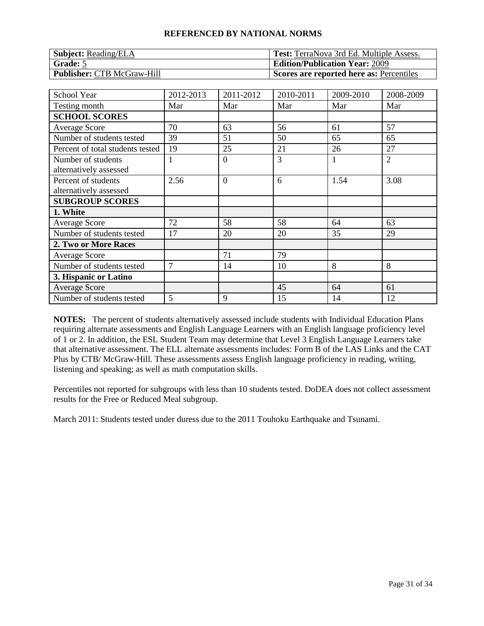| <b>Subject:</b> Reading/ELA       | <b>Test:</b> TerraNova 3rd Ed. Multiple Assess. |
|-----------------------------------|-------------------------------------------------|
| Grade: 5                          | <b>Edition/Publication Year: 2009</b>           |
| <b>Publisher: CTB McGraw-Hill</b> | Scores are reported here as: Percentiles        |

| <b>School Year</b>               | 2012-2013      | 2011-2012      | 2010-2011 | 2009-2010 | 2008-2009      |
|----------------------------------|----------------|----------------|-----------|-----------|----------------|
| Testing month                    | Mar            | Mar            | Mar       | Mar       | Mar            |
| <b>SCHOOL SCORES</b>             |                |                |           |           |                |
| <b>Average Score</b>             | 70             | 63             | 56        | 61        | 57             |
| Number of students tested        | 39             | 51             | 50        | 65        | 65             |
| Percent of total students tested | 19             | 25             | 21        | 26        | 27             |
| Number of students               |                | $\theta$       | 3         |           | $\overline{2}$ |
| alternatively assessed           |                |                |           |           |                |
| Percent of students              | 2.56           | $\overline{0}$ | 6         | 1.54      | 3.08           |
| alternatively assessed           |                |                |           |           |                |
| <b>SUBGROUP SCORES</b>           |                |                |           |           |                |
| 1. White                         |                |                |           |           |                |
| <b>Average Score</b>             | 72             | 58             | 58        | 64        | 63             |
| Number of students tested        | 17             | 20             | 20        | 35        | 29             |
| 2. Two or More Races             |                |                |           |           |                |
| <b>Average Score</b>             |                | 71             | 79        |           |                |
| Number of students tested        | $\overline{7}$ | 14             | 10        | 8         | 8              |
| 3. Hispanic or Latino            |                |                |           |           |                |
| <b>Average Score</b>             |                |                | 45        | 64        | 61             |
| Number of students tested        | 5              | 9              | 15        | 14        | 12             |

**NOTES:** The percent of students alternatively assessed include students with Individual Education Plans requiring alternate assessments and English Language Learners with an English language proficiency level of 1 or 2. In addition, the ESL Student Team may determine that Level 3 English Language Learners take that alternative assessment. The ELL alternate assessments includes: Form B of the LAS Links and the CAT Plus by CTB/ McGraw-Hill. These assessments assess English language proficiency in reading, writing, listening and speaking; as well as math computation skills.

Percentiles not reported for subgroups with less than 10 students tested. DoDEA does not collect assessment results for the Free or Reduced Meal subgroup.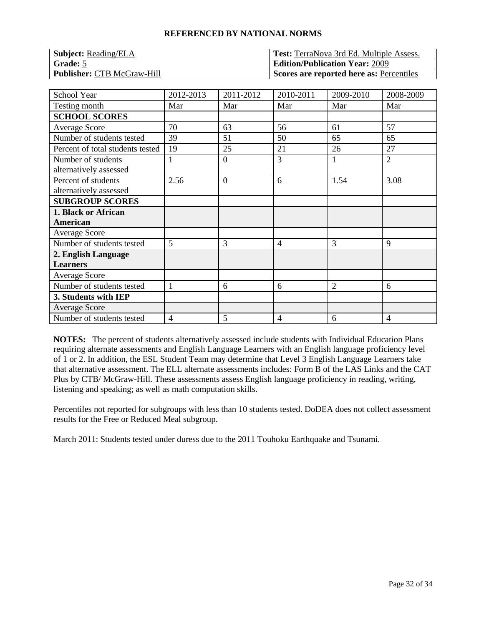| <b>Subject:</b> Reading/ELA       | <b>Test:</b> TerraNova 3rd Ed. Multiple Assess. |
|-----------------------------------|-------------------------------------------------|
| Grade: 5                          | <b>Edition/Publication Year: 2009</b>           |
| <b>Publisher: CTB McGraw-Hill</b> | Scores are reported here as: Percentiles        |

| <b>School Year</b>               | 2012-2013 | 2011-2012      | 2010-2011      | 2009-2010 | 2008-2009      |
|----------------------------------|-----------|----------------|----------------|-----------|----------------|
| Testing month                    | Mar       | Mar            | Mar            | Mar       | Mar            |
| <b>SCHOOL SCORES</b>             |           |                |                |           |                |
| Average Score                    | 70        | 63             | 56             | 61        | 57             |
| Number of students tested        | 39        | 51             | 50             | 65        | 65             |
| Percent of total students tested | 19        | 25             | 21             | 26        | 27             |
| Number of students               | 1         | $\overline{0}$ | $\overline{3}$ |           | $\overline{2}$ |
| alternatively assessed           |           |                |                |           |                |
| Percent of students              | 2.56      | $\overline{0}$ | 6              | 1.54      | 3.08           |
| alternatively assessed           |           |                |                |           |                |
| <b>SUBGROUP SCORES</b>           |           |                |                |           |                |
| 1. Black or African              |           |                |                |           |                |
| American                         |           |                |                |           |                |
| Average Score                    |           |                |                |           |                |
| Number of students tested        | 5         | 3              | 4              | 3         | 9              |
| 2. English Language              |           |                |                |           |                |
| <b>Learners</b>                  |           |                |                |           |                |
| Average Score                    |           |                |                |           |                |
| Number of students tested        | 1         | 6              | 6              | 2         | 6              |
| 3. Students with IEP             |           |                |                |           |                |
| <b>Average Score</b>             |           |                |                |           |                |
| Number of students tested        | 4         | 5              | 4              | 6         | 4              |

**NOTES:** The percent of students alternatively assessed include students with Individual Education Plans requiring alternate assessments and English Language Learners with an English language proficiency level of 1 or 2. In addition, the ESL Student Team may determine that Level 3 English Language Learners take that alternative assessment. The ELL alternate assessments includes: Form B of the LAS Links and the CAT Plus by CTB/ McGraw-Hill. These assessments assess English language proficiency in reading, writing, listening and speaking; as well as math computation skills.

Percentiles not reported for subgroups with less than 10 students tested. DoDEA does not collect assessment results for the Free or Reduced Meal subgroup.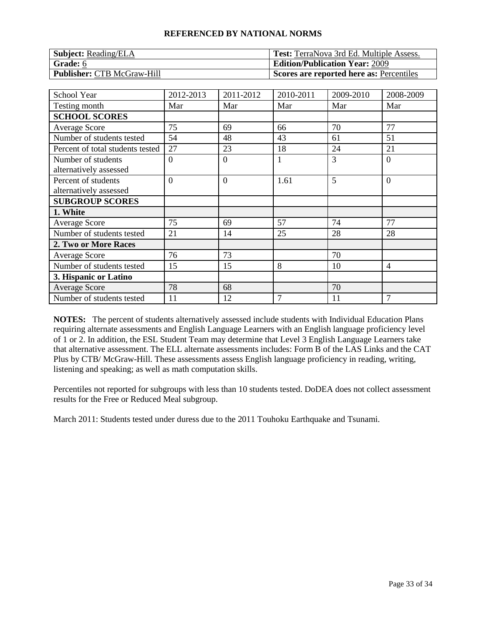| <b>Subject:</b> Reading/ELA       | <b>Test:</b> TerraNova 3rd Ed. Multiple Assess. |
|-----------------------------------|-------------------------------------------------|
| Grade: 6                          | <b>Edition/Publication Year: 2009</b>           |
| <b>Publisher: CTB McGraw-Hill</b> | Scores are reported here as: Percentiles        |

| <b>School Year</b>                            | 2012-2013 | 2011-2012        | 2010-2011    | 2009-2010 | 2008-2009      |
|-----------------------------------------------|-----------|------------------|--------------|-----------|----------------|
| Testing month                                 | Mar       | Mar              | Mar          | Mar       | Mar            |
| <b>SCHOOL SCORES</b>                          |           |                  |              |           |                |
| <b>Average Score</b>                          | 75        | 69               | 66           | 70        | 77             |
| Number of students tested                     | 54        | 48               | 43           | 61        | 51             |
| Percent of total students tested              | 27        | 23               | 18           | 24        | 21             |
| Number of students<br>alternatively assessed  | $\Omega$  | $\boldsymbol{0}$ | $\mathbf{1}$ | 3         | $\Omega$       |
| Percent of students<br>alternatively assessed | $\Omega$  | $\overline{0}$   | 1.61         | 5         | $\overline{0}$ |
| <b>SUBGROUP SCORES</b>                        |           |                  |              |           |                |
| 1. White                                      |           |                  |              |           |                |
| <b>Average Score</b>                          | 75        | 69               | 57           | 74        | 77             |
| Number of students tested                     | 21        | 14               | 25           | 28        | 28             |
| 2. Two or More Races                          |           |                  |              |           |                |
| <b>Average Score</b>                          | 76        | 73               |              | 70        |                |
| Number of students tested                     | 15        | 15               | 8            | 10        | $\overline{4}$ |
| 3. Hispanic or Latino                         |           |                  |              |           |                |
| <b>Average Score</b>                          | 78        | 68               |              | 70        |                |
| Number of students tested                     | 11        | 12               | 7            | 11        | 7              |

**NOTES:** The percent of students alternatively assessed include students with Individual Education Plans requiring alternate assessments and English Language Learners with an English language proficiency level of 1 or 2. In addition, the ESL Student Team may determine that Level 3 English Language Learners take that alternative assessment. The ELL alternate assessments includes: Form B of the LAS Links and the CAT Plus by CTB/ McGraw-Hill. These assessments assess English language proficiency in reading, writing, listening and speaking; as well as math computation skills.

Percentiles not reported for subgroups with less than 10 students tested. DoDEA does not collect assessment results for the Free or Reduced Meal subgroup.